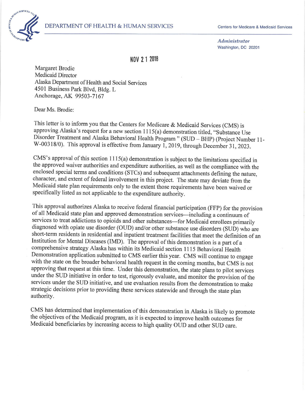

Administrator Washington, DC 20201

llo\/ 2 1 <sup>2010</sup>

Margaret Brodie Medicaid Director Alaska Departrnent of Health and Social Services 4501 Business Park Blvd, Bldg. L Anchorage, AK 99503-7167

Dear Ms. Brodie:

This letter is to inform you that the Centers for Medicare & Medicaid Services (CMS) is approving Alaska's request for a new section 1115(a) demonstration titled, "Substance Use Disorder Treatment and Alaska Behavioral Health Program " (SUD - BHP) (project Number I l-W-00318/0). This approval is effective from January 1, 2019, through December 31, 2023.

CMS's approval of this section  $1115(a)$  demonstration is subject to the limitations specified in the approved waiver authorities and expenditure authorities, as well as the compliance with the enclosed special terms and conditions (STCs) and subsequent attachments defining the nature, character, and extent of federal involvement in this project. The state may deviate from the Medicaid state plan requirements only to the extent those requirements have been waived or speciñcally listed as not applicable to the expenditure authority.

This approval authorizes Alaska to receive federal financial participation (FFP) for the provision of all Medicaid state plan and approved demonstration services-including a continuum of services to treat addictions to opioids and other substances-for Medicaid enrollees primarily diagnosed with opiate use disorder (OUD) and/or other substance use disorders (SUD) who are short-term residents in residential and inpatient treatment facilities that meet the definition of an Institution for Mental Diseases (IMD). The approval of this demonstration is a part of a comprehensive strategy Alaska has within its Medicaid section 1 I l5 Behavioral Health Demonstration application submitted to CMS earlier this year. CMS will continue to engage with the state on the broader behavioral health request in the coming months, but CMS is not approving that request at this time. Under this demonstration, the state plans to pilot services under the SUD initiative in order to test, rigorously evaluate, and monitòr the provision of the services under the SUD initiative, and use evaluation results from the demonsiration to make strategic decisions prior to providing these services statewide and through the state plan authority.

CMS has determined that implementation of this demonstration in Alaska is likely to promote the objectives of the Medicaid program, as it is expected to improve health outcomes ior Medicaid beneficiaries by increasing access to high quality OUD and other SUD care.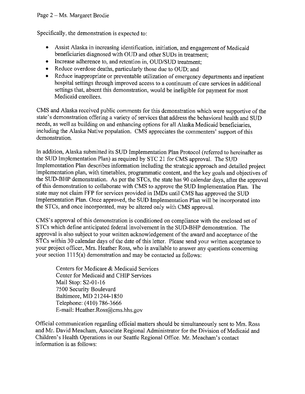Specifically, the demonstration is expected to

- o Assist Alaska in increasing identification, initiation, and engagement of Medicaid beneficiaries diagnosed with OUD and other SUDs in treatment;
- o Increase adherence to, and retention in, OUD/SUD treatment;
- Reduce overdose deaths, particularly those due to OUD; and
- o Reduce inappropriate or preventable utilization of emergency departments and inpatient hospital settings through improved access to a continuum of care services in additional settings that, absent this demonstration, would be ineligible for payment for most Medicaid enrollees.

CMS and Alaska received public comments for this demonstration which were supportive of the state's demonstration offering a variety of services that address the behavioral health and SUD needs, as well as building on and enhancing options for all Alaska Medicaid beneficiaries, including the Alaska Native population. CMS appreciates the commenters' support of this demonstration.

In addition, Alaska submitted its SUD Implementation Plan Protocol (referred to hereinafter as the SUD Implementation Plan) as required by STC 2l for CMS approval. The SUD Implementation Plan describes information including the strategic approach and detailed project implementation plan, with timetables, programmatic content, and the key goals and objectives of the SUD-BHP demonstration. As per the STCs, the state has 90 calendar days, after the approval of this demonstration to collaborate with CMS to approve the SUD Implementation Plan. The state may not claim FFP for services provided in IMDs until CMS has approved the SUD Implementation Plan. Once approved, the SUD Implementation Plan will be incorporated into the STCs, and once incorporated, may be altered only with CMS approval.

CMS's approval of this demonstration is conditioned on compliance with the enclosed set of STCs which define anticipated federal involvement in the SUD-BHP demonstration. The approval is also subject to your written acknowledgement of the award and acceptance of the STCs within 30 calendar days of the date of this letter. Please send your written acceptance to your project officer, Mrs. Heather Ross, who is available to answer any questions concerning your section  $1115(a)$  demonstration and may be contacted as follows:

Centers for Medicare & Medicaid Services Center for Medicaid and CHIP Services Mail Stop: S2-01-16 7500 Security Boulevard Baltimore, MD 21244- I 850 Telephone: (410) 786-3666 E-mail: Heather.Ross@cms.hhs.gov

Official communication regarding official matters should be simultaneously sent to Mrs. Ross and Mr. David Meacham, Associate Regional Administrator for the Division of Medicaid and Children's Health Operations in our Seattle Regional Office. Mr. Meacham's contact information is as follows: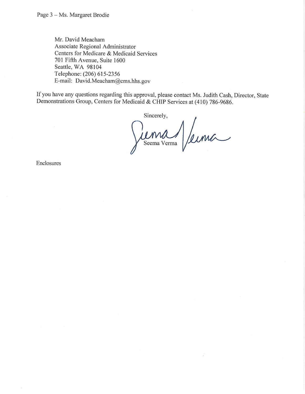Mr. David Meacham Associate Regional Administrator Centers for Medicare & Medicaid Services 701 Fifth Avenue, Suite 1600 Seattle, WA 98104 Telephone: (206) 615-2356 E-mail: David.Meacham@cms.hhs.gov

If you have any questions regarding this approval, please contact Ms. Judith Cash, Director, State Demonstrations Group, Centers for Medicaid & CHIP Services at (410) 786-9686.

Sincerely, Seema Verma

Enclosures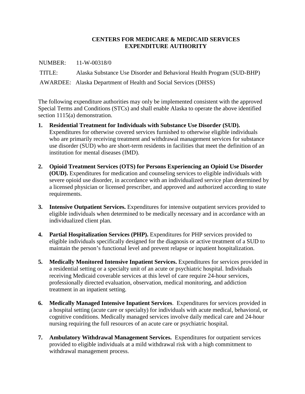### **CENTERS FOR MEDICARE & MEDICAID SERVICES EXPENDITURE AUTHORITY**

 NUMBER: 11-W-00318/0 TITLE: Alaska Substance Use Disorder and Behavioral Health Program (SUD-BHP) AWARDEE: Alaska Department of Health and Social Services (DHSS)

The following expenditure authorities may only be implemented consistent with the approved Special Terms and Conditions (STCs) and shall enable Alaska to operate the above identified section 1115(a) demonstration.

- **1. Residential Treatment for Individuals with Substance Use Disorder (SUD).** Expenditures for otherwise covered services furnished to otherwise eligible individuals who are primarily receiving treatment and withdrawal management services for substance use disorder (SUD) who are short-term residents in facilities that meet the definition of an institution for mental diseases (IMD).
- **2. Opioid Treatment Services (OTS) for Persons Experiencing an Opioid Use Disorder (OUD).** Expenditures for medication and counseling services to eligible individuals with severe opioid use disorder, in accordance with an individualized service plan determined by a licensed physician or licensed prescriber, and approved and authorized according to state requirements.
- **3. Intensive Outpatient Services.** Expenditures for intensive outpatient services provided to eligible individuals when determined to be medically necessary and in accordance with an individualized client plan.
- **4. Partial Hospitalization Services (PHP).** Expenditures for PHP services provided to eligible individuals specifically designed for the diagnosis or active treatment of a SUD to maintain the person's functional level and prevent relapse or inpatient hospitalization.
- **5. Medically Monitored Intensive Inpatient Services.** Expenditures for services provided in a residential setting or a specialty unit of an acute or psychiatric hospital. Individuals receiving Medicaid coverable services at this level of care require 24-hour services, professionally directed evaluation, observation, medical monitoring, and addiction treatment in an inpatient setting.
- **6. Medically Managed Intensive Inpatient Services**. Expenditures for services provided in a hospital setting (acute care or specialty) for individuals with acute medical, behavioral, or cognitive conditions. Medically managed services involve daily medical care and 24-hour nursing requiring the full resources of an acute care or psychiatric hospital.
- **7. Ambulatory Withdrawal Management Services.** Expenditures for outpatient services provided to eligible individuals at a mild withdrawal risk with a high commitment to withdrawal management process.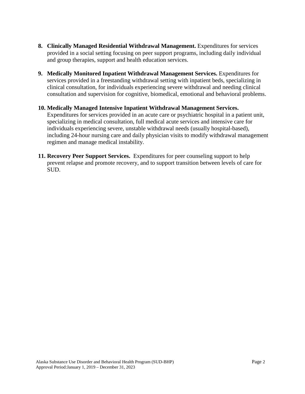- **8. Clinically Managed Residential Withdrawal Management.** Expenditures for services provided in a social setting focusing on peer support programs, including daily individual and group therapies, support and health education services.
- **9. Medically Monitored Inpatient Withdrawal Management Services.** Expenditures for services provided in a freestanding withdrawal setting with inpatient beds, specializing in clinical consultation, for individuals experiencing severe withdrawal and needing clinical consultation and supervision for cognitive, biomedical, emotional and behavioral problems.
- **10. Medically Managed Intensive Inpatient Withdrawal Management Services.** Expenditures for services provided in an acute care or psychiatric hospital in a patient unit, specializing in medical consultation, full medical acute services and intensive care for individuals experiencing severe, unstable withdrawal needs (usually hospital-based), including 24-hour nursing care and daily physician visits to modify withdrawal management regimen and manage medical instability.
- **11. Recovery Peer Support Services.** Expenditures for peer counseling support to help prevent relapse and promote recovery, and to support transition between levels of care for SUD.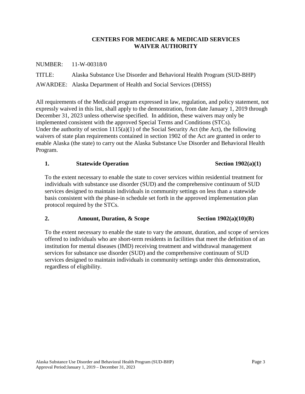### **CENTERS FOR MEDICARE & MEDICAID SERVICES WAIVER AUTHORITY**

NUMBER: 11-W-00318/0

TITLE: Alaska Substance Use Disorder and Behavioral Health Program (SUD-BHP) AWARDEE: Alaska Department of Health and Social Services (DHSS)

All requirements of the Medicaid program expressed in law, regulation, and policy statement, not expressly waived in this list, shall apply to the demonstration, from date January 1, 2019 through December 31, 2023 unless otherwise specified. In addition, these waivers may only be implemented consistent with the approved Special Terms and Conditions (STCs). Under the authority of section  $1115(a)(1)$  of the Social Security Act (the Act), the following waivers of state plan requirements contained in section 1902 of the Act are granted in order to enable Alaska (the state) to carry out the Alaska Substance Use Disorder and Behavioral Health Program.

#### **1. Statewide Operation Section 1902(a)(1)**

To the extent necessary to enable the state to cover services within residential treatment for individuals with substance use disorder (SUD) and the comprehensive continuum of SUD services designed to maintain individuals in community settings on less than a statewide basis consistent with the phase-in schedule set forth in the approved implementation plan protocol required by the STCs.

### **2. Amount, Duration, & Scope Section 1902(a)(10)(B)**

To the extent necessary to enable the state to vary the amount, duration, and scope of services offered to individuals who are short-term residents in facilities that meet the definition of an institution for mental diseases (IMD) receiving treatment and withdrawal management services for substance use disorder (SUD) and the comprehensive continuum of SUD services designed to maintain individuals in community settings under this demonstration, regardless of eligibility.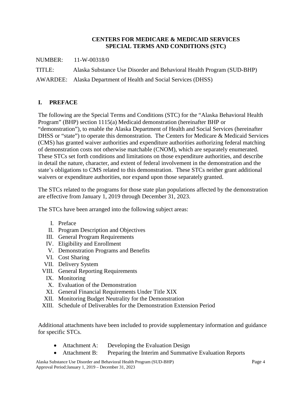### **CENTERS FOR MEDICARE & MEDICAID SERVICES SPECIAL TERMS AND CONDITIONS (STC)**

NUMBER: 11-W-00318/0

TITLE: Alaska Substance Use Disorder and Behavioral Health Program (SUD-BHP)

AWARDEE: Alaska Department of Health and Social Services (DHSS)

# **I. PREFACE**

The following are the Special Terms and Conditions (STC) for the "Alaska Behavioral Health Program" (BHP) section 1115(a) Medicaid demonstration (hereinafter BHP or "demonstration"), to enable the Alaska Department of Health and Social Services (hereinafter DHSS or "state") to operate this demonstration. The Centers for Medicare & Medicaid Services (CMS) has granted waiver authorities and expenditure authorities authorizing federal matching of demonstration costs not otherwise matchable (CNOM), which are separately enumerated. These STCs set forth conditions and limitations on those expenditure authorities, and describe in detail the nature, character, and extent of federal involvement in the demonstration and the state's obligations to CMS related to this demonstration. These STCs neither grant additional waivers or expenditure authorities, nor expand upon those separately granted.

The STCs related to the programs for those state plan populations affected by the demonstration are effective from January 1, 2019 through December 31, 2023.

The STCs have been arranged into the following subject areas:

- I. Preface
- II. Program Description and Objectives
- III. General Program Requirements
- IV. Eligibility and Enrollment
- <span id="page-6-0"></span>V. Demonstration Programs and Benefits
- VI. Cost Sharing
- VII. Delivery System
- VIII. General Reporting Requirements
	- IX. Monitoring
	- X. Evaluation of the Demonstration
	- XI. General Financial Requirements Under Title XIX
- <span id="page-6-2"></span><span id="page-6-1"></span>XII. Monitoring Budget Neutrality for the Demonstration
- XIII. Schedule of Deliverables for the Demonstration Extension Period

Additional attachments have been included to provide supplementary information and guidance for specific STCs.

- Attachment A: Developing the Evaluation Design
- Attachment B: Preparing the Interim and Summative Evaluation Reports

Alaska Substance Use Disorder and Behavioral Health Program (SUD-BHP) Page 4 Approval Period:January 1, 2019 – December 31, 2023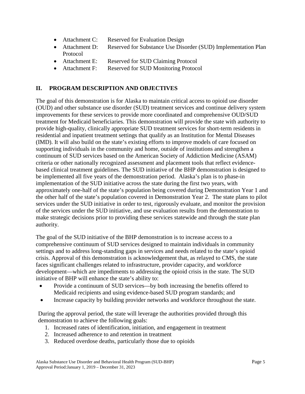- Attachment C: Reserved for Evaluation Design
- Attachment D: Reserved for Substance Use Disorder (SUD) Implementation Plan Protocol
- Attachment E: Reserved for SUD Claiming Protocol
- Attachment F: Reserved for SUD Monitoring Protocol

## **II. PROGRAM DESCRIPTION AND OBJECTIVES**

The goal of this demonstration is for Alaska to maintain critical access to opioid use disorder (OUD) and other substance use disorder (SUD) treatment services and continue delivery system improvements for these services to provide more coordinated and comprehensive OUD/SUD treatment for Medicaid beneficiaries. This demonstration will provide the state with authority to provide high-quality, clinically appropriate SUD treatment services for short-term residents in residential and inpatient treatment settings that qualify as an Institution for Mental Diseases (IMD). It will also build on the state's existing efforts to improve models of care focused on supporting individuals in the community and home, outside of institutions and strengthen a continuum of SUD services based on the American Society of Addiction Medicine (ASAM) criteria or other nationally recognized assessment and placement tools that reflect evidencebased clinical treatment guidelines. The SUD initiative of the BHP demonstration is designed to be implemented all five years of the demonstration period. Alaska's plan is to phase-in implementation of the SUD initiative across the state during the first two years, with approximately one-half of the state's population being covered during Demonstration Year 1 and the other half of the state's population covered in Demonstration Year 2. The state plans to pilot services under the SUD initiative in order to test, rigorously evaluate, and monitor the provision of the services under the SUD initiative, and use evaluation results from the demonstration to make strategic decisions prior to providing these services statewide and through the state plan authority.

The goal of the SUD initiative of the BHP demonstration is to increase access to a comprehensive continuum of SUD services designed to maintain individuals in community settings and to address long-standing gaps in services and needs related to the state's opioid crisis. Approval of this demonstration is acknowledgement that, as relayed to CMS, the state faces significant challenges related to infrastructure, provider capacity, and workforce development—which are impediments to addressing the opioid crisis in the state. The SUD initiative of BHP will enhance the state's ability to:

- Provide a continuum of SUD services—by both increasing the benefits offered to Medicaid recipients and using evidence-based SUD program standards; and
- Increase capacity by building provider networks and workforce throughout the state.

During the approval period, the state will leverage the authorities provided through this demonstration to achieve the following goals:

- 1. Increased rates of identification, initiation, and engagement in treatment
- 2. Increased adherence to and retention in treatment
- 3. Reduced overdose deaths, particularly those due to opioids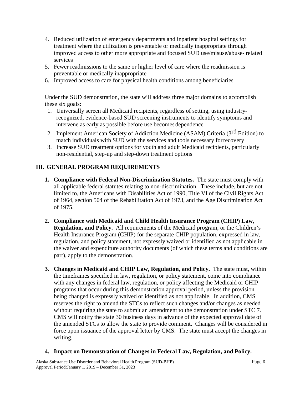- 4. Reduced utilization of emergency departments and inpatient hospital settings for treatment where the utilization is preventable or medically inappropriate through improved access to other more appropriate and focused SUD use/misuse/abuse- related services
- 5. Fewer readmissions to the same or higher level of care where the readmission is preventable or medically inappropriate
- 6. Improved access to care for physical health conditions among beneficiaries

Under the SUD demonstration, the state will address three major domains to accomplish these six goals:

- 1. Universally screen all Medicaid recipients, regardless of setting, using industryrecognized, evidence-based SUD screening instruments to identify symptoms and intervene as early as possible before use becomes dependence
- 2. Implement American Society of Addiction Medicine (ASAM) Criteria (3<sup>rd</sup> Edition) to match individuals with SUD with the services and tools necessary forrecovery
- 3. Increase SUD treatment options for youth and adult Medicaid recipients, particularly non-residential, step-up and step-down treatment options

# **III. GENERAL PROGRAM REQUIREMENTS**

- **1. Compliance with Federal Non-Discrimination Statutes.** The state must comply with all applicable federal statutes relating to non-discrimination. These include, but are not limited to, the Americans with Disabilities Act of 1990, Title VI of the Civil Rights Act of 1964, section 504 of the Rehabilitation Act of 1973, and the Age Discrimination Act of 1975.
- **2. Compliance with Medicaid and Child Health Insurance Program (CHIP) Law, Regulation, and Policy.** All requirements of the Medicaid program, or the Children's Health Insurance Program (CHIP) for the separate CHIP population, expressed in law, regulation, and policy statement, not expressly waived or identified as not applicable in the waiver and expenditure authority documents (of which these terms and conditions are part), apply to the demonstration.
- **3. Changes in Medicaid and CHIP Law, Regulation, and Policy.** The state must, within the timeframes specified in law, regulation, or policy statement, come into compliance with any changes in federal law, regulation, or policy affecting the Medicaid or CHIP programs that occur during this demonstration approval period, unless the provision being changed is expressly waived or identified as not applicable. In addition, CMS reserves the right to amend the STCs to reflect such changes and/or changes as needed without requiring the state to submit an amendment to the demonstration under STC 7. CMS will notify the state 30 business days in advance of the expected approval date of the amended STCs to allow the state to provide comment. Changes will be considered in force upon issuance of the approval letter by CMS. The state must accept the changes in writing.
- **4. Impact on Demonstration of Changes in Federal Law, Regulation, and Policy.**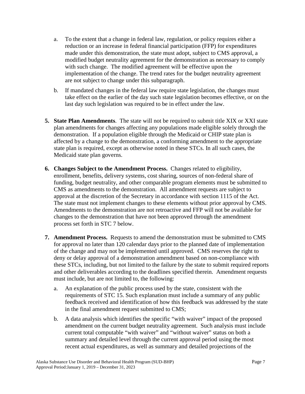- a. To the extent that a change in federal law, regulation, or policy requires either a reduction or an increase in federal financial participation (FFP) for expenditures made under this demonstration, the state must adopt, subject to CMS approval, a modified budget neutrality agreement for the demonstration as necessary to comply with such change. The modified agreement will be effective upon the implementation of the change. The trend rates for the budget neutrality agreement are not subject to change under this subparagraph.
- b. If mandated changes in the federal law require state legislation, the changes must take effect on the earlier of the day such state legislation becomes effective, or on the last day such legislation was required to be in effect under the law.
- **5. State Plan Amendments**. The state will not be required to submit title XIX or XXI state plan amendments for changes affecting any populations made eligible solely through the demonstration. If a population eligible through the Medicaid or CHIP state plan is affected by a change to the demonstration, a conforming amendment to the appropriate state plan is required, except as otherwise noted in these STCs. In all such cases, the Medicaid state plan governs.
- **6. Changes Subject to the Amendment Process.** Changes related to eligibility, enrollment, benefits, delivery systems, cost sharing, sources of non-federal share of funding, budget neutrality, and other comparable program elements must be submitted to CMS as amendments to the demonstration. All amendment requests are subject to approval at the discretion of the Secretary in accordance with section 1115 of the Act. The state must not implement changes to these elements without prior approval by CMS. Amendments to the demonstration are not retroactive and FFP will not be available for changes to the demonstration that have not been approved through the amendment process set forth in STC 7 below.
- **7. Amendment Process.** Requests to amend the demonstration must be submitted to CMS for approval no later than 120 calendar days prior to the planned date of implementation of the change and may not be implemented until approved. CMS reserves the right to deny or delay approval of a demonstration amendment based on non-compliance with these STCs, including, but not limited to the failure by the state to submit required reports and other deliverables according to the deadlines specified therein. Amendment requests must include, but are not limited to, the following:
	- a. An explanation of the public process used by the state, consistent with the requirements of STC 15. Such explanation must include a summary of any public feedback received and identification of how this feedback was addressed by the state in the final amendment request submitted to CMS;
	- b. A data analysis which identifies the specific "with waiver" impact of the proposed amendment on the current budget neutrality agreement. Such analysis must include current total computable "with waiver" and "without waiver" status on both a summary and detailed level through the current approval period using the most recent actual expenditures, as well as summary and detailed projections of the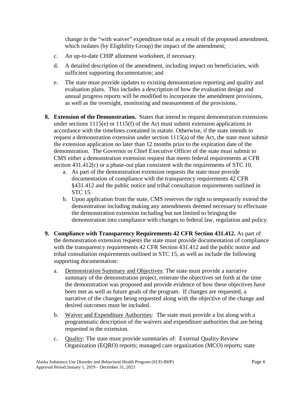change in the "with waiver" expenditure total as a result of the proposed amendment, which isolates (by Eligibility Group) the impact of the amendment;

- c. An up-to-date CHIP allotment worksheet, if necessary.
- d. A detailed description of the amendment, including impact on beneficiaries, with sufficient supporting documentation; and
- e. The state must provide updates to existing demonstration reporting and quality and evaluation plans. This includes a description of how the evaluation design and annual progress reports will be modified to incorporate the amendment provisions, as well as the oversight, monitoring and measurement of the provisions.
- **8. Extension of the Demonstration.** States that intend to request demonstration extensions under sections 1115(e) or 1115(f) of the Act must submit extension applications in accordance with the timelines contained in statute. Otherwise, if the state intends to request a demonstration extension under section 1115(a) of the Act, the state must submit the extension application no later than 12 months prior to the expiration date of the demonstration. The Governor or Chief Executive Officer of the state must submit to CMS either a demonstration extension request that meets federal requirements at CFR section 431.412(c) or a phase-out plan consistent with the requirements of STC 10.
	- a. As part of the demonstration extension requests the state must provide documentation of compliance with the transparency requirements 42 CFR §431.412 and the public notice and tribal consultation requirements outlined in STC 15.
	- b. Upon application from the state, CMS reserves the right to temporarily extend the demonstration including making any amendments deemed necessary to effectuate the demonstration extension including but not limited to bringing the demonstration into compliance with changes to federal law, regulation and policy.
- **9. Compliance with Transparency Requirements 42 CFR Section 431.412.** As part of the demonstration extension requests the state must provide documentation of compliance with the transparency requirements 42 CFR Section 431.412 and the public notice and tribal consultation requirements outlined in STC 15, as well as include the following supporting documentation:
	- a. Demonstration Summary and Objectives: The state must provide a narrative summary of the demonstration project, reiterate the objectives set forth at the time the demonstration was proposed and provide evidence of how these objectives have been met as well as future goals of the program. If changes are requested, a narrative of the changes being requested along with the objective of the change and desired outcomes must be included.
	- b. Waiver and Expenditure Authorities: The state must provide a list along with a programmatic description of the waivers and expenditure authorities that are being requested in the extension.
	- c. Quality: The state must provide summaries of: External Quality Review Organization (EQRO) reports; managed care organization (MCO) reports; state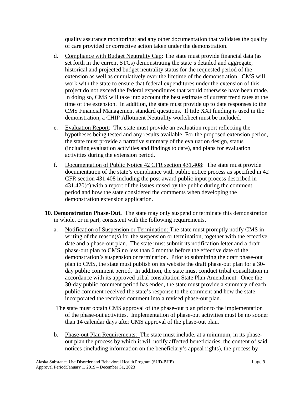quality assurance monitoring; and any other documentation that validates the quality of care provided or corrective action taken under the demonstration.

- d. Compliance with Budget Neutrality Cap: The state must provide financial data (as set forth in the current STCs) demonstrating the state's detailed and aggregate, historical and projected budget neutrality status for the requested period of the extension as well as cumulatively over the lifetime of the demonstration. CMS will work with the state to ensure that federal expenditures under the extension of this project do not exceed the federal expenditures that would otherwise have been made. In doing so, CMS will take into account the best estimate of current trend rates at the time of the extension. In addition, the state must provide up to date responses to the CMS Financial Management standard questions. If title XXI funding is used in the demonstration, a CHIP Allotment Neutrality worksheet must be included.
- e. Evaluation Report: The state must provide an evaluation report reflecting the hypotheses being tested and any results available. For the proposed extension period, the state must provide a narrative summary of the evaluation design, status (including evaluation activities and findings to date), and plans for evaluation activities during the extension period.
- f. Documentation of Public Notice 42 CFR section 431.408: The state must provide documentation of the state's compliance with public notice process as specified in 42 CFR section 431.408 including the post-award public input process described in 431.420(c) with a report of the issues raised by the public during the comment period and how the state considered the comments when developing the demonstration extension application.
- **10. Demonstration Phase-Out.** The state may only suspend or terminate this demonstration in whole, or in part, consistent with the following requirements.
	- a. Notification of Suspension or Termination: The state must promptly notify CMS in writing of the reason(s) for the suspension or termination, together with the effective date and a phase-out plan. The state must submit its notification letter and a draft phase-out plan to CMS no less than 6 months before the effective date of the demonstration's suspension or termination. Prior to submitting the draft phase-out plan to CMS, the state must publish on its website the draft phase-out plan for a 30 day public comment period. In addition, the state must conduct tribal consultation in accordance with its approved tribal consultation State Plan Amendment. Once the 30-day public comment period has ended, the state must provide a summary of each public comment received the state's response to the comment and how the state incorporated the received comment into a revised phase-out plan.
	- The state must obtain CMS approval of the phase-out plan prior to the implementation of the phase-out activities. Implementation of phase-out activities must be no sooner than 14 calendar days after CMS approval of the phase-out plan.
	- b. Phase-out Plan Requirements: The state must include, at a minimum, in its phaseout plan the process by which it will notify affected beneficiaries, the content of said notices (including information on the beneficiary's appeal rights), the process by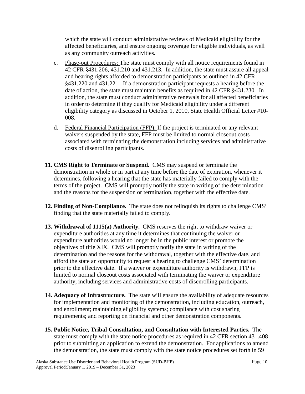which the state will conduct administrative reviews of Medicaid eligibility for the affected beneficiaries, and ensure ongoing coverage for eligible individuals, as well as any community outreach activities.

- c. Phase-out Procedures: The state must comply with all notice requirements found in 42 CFR §431.206, 431.210 and 431.213. In addition, the state must assure all appeal and hearing rights afforded to demonstration participants as outlined in 42 CFR §431.220 and 431.221. If a demonstration participant requests a hearing before the date of action, the state must maintain benefits as required in 42 CFR §431.230. In addition, the state must conduct administrative renewals for all affected beneficiaries in order to determine if they qualify for Medicaid eligibility under a different eligibility category as discussed in October 1, 2010, State Health Official Letter #10- 008.
- d. Federal Financial Participation (FFP): If the project is terminated or any relevant waivers suspended by the state, FFP must be limited to normal closeout costs associated with terminating the demonstration including services and administrative costs of disenrolling participants.
- **11. CMS Right to Terminate or Suspend.** CMS may suspend or terminate the demonstration in whole or in part at any time before the date of expiration, whenever it determines, following a hearing that the state has materially failed to comply with the terms of the project. CMS will promptly notify the state in writing of the determination and the reasons for the suspension or termination, together with the effective date.
- **12. Finding of Non-Compliance.** The state does not relinquish its rights to challenge CMS' finding that the state materially failed to comply.
- **13. Withdrawal of 1115(a) Authority.** CMS reserves the right to withdraw waiver or expenditure authorities at any time it determines that continuing the waiver or expenditure authorities would no longer be in the public interest or promote the objectives of title XIX. CMS will promptly notify the state in writing of the determination and the reasons for the withdrawal, together with the effective date, and afford the state an opportunity to request a hearing to challenge CMS' determination prior to the effective date. If a waiver or expenditure authority is withdrawn, FFP is limited to normal closeout costs associated with terminating the waiver or expenditure authority, including services and administrative costs of disenrolling participants.
- **14. Adequacy of Infrastructure.** The state will ensure the availability of adequate resources for implementation and monitoring of the demonstration, including education, outreach, and enrollment; maintaining eligibility systems; compliance with cost sharing requirements; and reporting on financial and other demonstration components.
- **15. Public Notice, Tribal Consultation, and Consultation with Interested Parties.** The state must comply with the state notice procedures as required in 42 CFR section 431.408 prior to submitting an application to extend the demonstration. For applications to amend the demonstration, the state must comply with the state notice procedures set forth in 59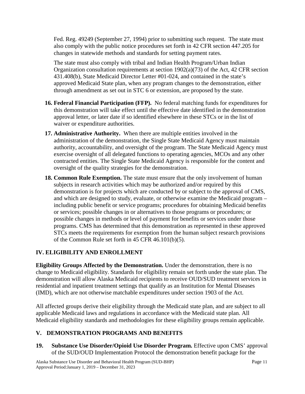Fed. Reg. 49249 (September 27, 1994) prior to submitting such request. The state must also comply with the public notice procedures set forth in 42 CFR section 447.205 for changes in statewide methods and standards for setting payment rates.

The state must also comply with tribal and Indian Health Program/Urban Indian Organization consultation requirements at section  $1902(a)(73)$  of the Act, 42 CFR section 431.408(b), State Medicaid Director Letter #01-024, and contained in the state's approved Medicaid State plan, when any program changes to the demonstration, either through amendment as set out in STC 6 or extension, are proposed by the state.

- **16. Federal Financial Participation (FFP).** No federal matching funds for expenditures for this demonstration will take effect until the effective date identified in the demonstration approval letter, or later date if so identified elsewhere in these STCs or in the list of waiver or expenditure authorities.
- **17. Administrative Authority.** When there are multiple entities involved in the administration of the demonstration, the Single State Medicaid Agency must maintain authority, accountability, and oversight of the program. The State Medicaid Agency must exercise oversight of all delegated functions to operating agencies, MCOs and any other contracted entities. The Single State Medicaid Agency is responsible for the content and oversight of the quality strategies for the demonstration.
- **18. Common Rule Exemption.** The state must ensure that the only involvement of human subjects in research activities which may be authorized and/or required by this demonstration is for projects which are conducted by or subject to the approval of CMS, and which are designed to study, evaluate, or otherwise examine the Medicaid program – including public benefit or service programs; procedures for obtaining Medicaid benefits or services; possible changes in or alternatives to those programs or procedures; or possible changes in methods or level of payment for benefits or services under those programs. CMS has determined that this demonstration as represented in these approved STCs meets the requirements for exemption from the human subject research provisions of the Common Rule set forth in 45 CFR 46.101(b)(5).

## **IV. ELIGIBILITY AND ENROLLMENT**

**Eligibility Groups Affected by the Demonstration.** Under the demonstration, there is no change to Medicaid eligibility. Standards for eligibility remain set forth under the state plan. The demonstration will allow Alaska Medicaid recipients to receive OUD/SUD treatment services in residential and inpatient treatment settings that qualify as an Institution for Mental Diseases (IMD), which are not otherwise matchable expenditures under section 1903 of the Act.

All affected groups derive their eligibility through the Medicaid state plan, and are subject to all applicable Medicaid laws and regulations in accordance with the Medicaid state plan. All Medicaid eligibility standards and methodologies for these eligibility groups remain applicable.

# **[V.](#page-6-0) DEMONSTRATION PROGRAMS AND BENEFITS**

**19. Substance Use Disorder/Opioid Use Disorder Program.** Effective upon CMS' approval of the SUD/OUD Implementation Protocol the demonstration benefit package for the

Alaska Substance Use Disorder and Behavioral Health Program (SUD-BHP) Page 11 Approval Period:January 1, 2019 – December 31, 2023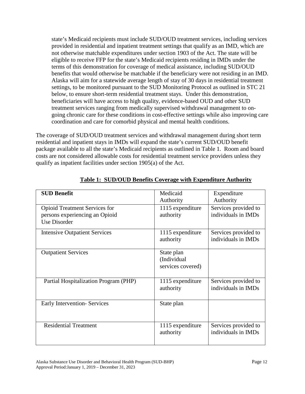state's Medicaid recipients must include SUD/OUD treatment services, including services provided in residential and inpatient treatment settings that qualify as an IMD, which are not otherwise matchable expenditures under section 1903 of the Act. The state will be eligible to receive FFP for the state's Medicaid recipients residing in IMDs under the terms of this demonstration for coverage of medical assistance, including SUD/OUD benefits that would otherwise be matchable if the beneficiary were not residing in an IMD. Alaska will aim for a statewide average length of stay of 30 days in residential treatment settings, to be monitored pursuant to the SUD Monitoring Protocol as outlined in STC 21 below, to ensure short-term residential treatment stays. Under this demonstration, beneficiaries will have access to high quality, evidence-based OUD and other SUD treatment services ranging from medically supervised withdrawal management to ongoing chronic care for these conditions in cost-effective settings while also improving care coordination and care for comorbid physical and mental health conditions.

The coverage of SUD/OUD treatment services and withdrawal management during short term residential and inpatient stays in IMDs will expand the state's current SUD/OUD benefit package available to all the state's Medicaid recipients as outlined in Table 1. Room and board costs are not considered allowable costs for residential treatment service providers unless they qualify as inpatient facilities under section 1905(a) of the Act.

| <b>SUD Benefit</b>                                                                            | Medicaid<br>Authority                          | Expenditure<br>Authority                    |
|-----------------------------------------------------------------------------------------------|------------------------------------------------|---------------------------------------------|
| <b>Opioid Treatment Services for</b><br>persons experiencing an Opioid<br><b>Use Disorder</b> | 1115 expenditure<br>authority                  | Services provided to<br>individuals in IMDs |
| <b>Intensive Outpatient Services</b>                                                          | 1115 expenditure<br>authority                  | Services provided to<br>individuals in IMDs |
| <b>Outpatient Services</b>                                                                    | State plan<br>(Individual<br>services covered) |                                             |
| Partial Hospitalization Program (PHP)                                                         | 1115 expenditure<br>authority                  | Services provided to<br>individuals in IMDs |
| <b>Early Intervention- Services</b>                                                           | State plan                                     |                                             |
| <b>Residential Treatment</b>                                                                  | 1115 expenditure<br>authority                  | Services provided to<br>individuals in IMDs |

## **Table 1: SUD/OUD Benefits Coverage with Expenditure Authority**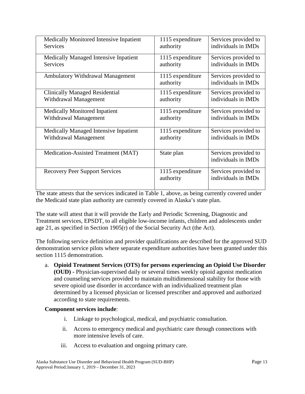| Medically Monitored Intensive Inpatient      | 1115 expenditure              | Services provided to                        |
|----------------------------------------------|-------------------------------|---------------------------------------------|
| <b>Services</b>                              | authority                     | individuals in IMDs                         |
| Medically Managed Intensive Inpatient        | 1115 expenditure              | Services provided to                        |
| <b>Services</b>                              | authority                     | individuals in IMDs                         |
| <b>Ambulatory Withdrawal Management</b>      | 1115 expenditure<br>authority | Services provided to<br>individuals in IMDs |
| <b>Clinically Managed Residential</b>        | 1115 expenditure              | Services provided to                        |
| Withdrawal Management                        | authority                     | individuals in IMDs                         |
| <b>Medically Monitored Inpatient</b>         | 1115 expenditure              | Services provided to                        |
| Withdrawal Management                        | authority                     | individuals in IMDs                         |
| <b>Medically Managed Intensive Inpatient</b> | 1115 expenditure              | Services provided to                        |
| Withdrawal Management                        | authority                     | individuals in IMDs                         |
| Medication-Assisted Treatment (MAT)          | State plan                    | Services provided to<br>individuals in IMDs |
| <b>Recovery Peer Support Services</b>        | 1115 expenditure<br>authority | Services provided to<br>individuals in IMDs |

The state attests that the services indicated in Table 1, above, as being currently covered under the Medicaid state plan authority are currently covered in Alaska's state plan.

The state will attest that it will provide the Early and Periodic Screening, Diagnostic and Treatment services, EPSDT, to all eligible low-income infants, children and adolescents under age 21, as specified in Section 1905(r) of the Social Security Act (the Act).

The following service definition and provider qualifications are described for the approved SUD demonstration service pilots where separate expenditure authorities have been granted under this section 1115 demonstration.

a. **Opioid Treatment Services (OTS) for persons experiencing an Opioid Use Disorder (OUD) -** Physician-supervised daily or several times weekly opioid agonist medication and counseling services provided to maintain multidimensional stability for those with severe opioid use disorder in accordance with an individualized treatment plan determined by a licensed physician or licensed prescriber and approved and authorized according to state requirements.

### **Component services include**:

- i. Linkage to psychological, medical, and psychiatric consultation.
- ii. Access to emergency medical and psychiatric care through connections with more intensive levels of care.
- iii. Access to evaluation and ongoing primary care.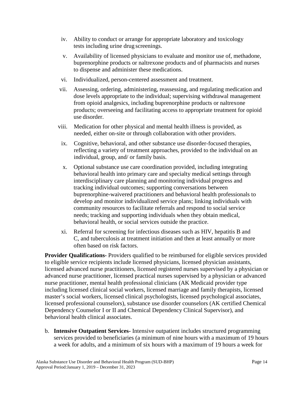- iv. Ability to conduct or arrange for appropriate laboratory and toxicology tests including urine drug screenings.
- v. Availability of licensed physicians to evaluate and monitor use of, methadone, buprenorphine products or naltrexone products and of pharmacists and nurses to dispense and administer these medications.
- vi. Individualized, person-centered assessment and treatment.
- vii. Assessing, ordering, administering, reassessing, and regulating medication and dose levels appropriate to the individual; supervising withdrawal management from opioid analgesics, including buprenorphine products or naltrexone products; overseeing and facilitating access to appropriate treatment for opioid use disorder.
- viii. Medication for other physical and mental health illness is provided, as needed, either on-site or through collaboration with other providers.
- ix. Cognitive, behavioral, and other substance use disorder-focused therapies, reflecting a variety of treatment approaches, provided to the individual on an individual, group, and/ or family basis.
- x. Optional substance use care coordination provided, including integrating behavioral health into primary care and specialty medical settings through interdisciplinary care planning and monitoring individual progress and tracking individual outcomes; supporting conversations between buprenorphine-waivered practitioners and behavioral health professionals to develop and monitor individualized service plans; linking individuals with community resources to facilitate referrals and respond to social service needs; tracking and supporting individuals when they obtain medical, behavioral health, or social services outside the practice.
- xi. Referral for screening for infectious diseases such as HIV, hepatitis B and C, and tuberculosis at treatment initiation and then at least annually or more often based on risk factors.

**Provider Qualifications-** Providers qualified to be reimbursed for eligible services provided to eligible service recipients include licensed physicians, licensed physician assistants, licensed advanced nurse practitioners, licensed registered nurses supervised by a physician or advanced nurse practitioner, licensed practical nurses supervised by a physician or advanced nurse practitioner, mental health professional clinicians (AK Medicaid provider type including licensed clinical social workers, licensed marriage and family therapists, licensed master's social workers, licensed clinical psychologists, licensed psychological associates, licensed professional counselors), substance use disorder counselors (AK certified Chemical Dependency Counselor I or II and Chemical Dependency Clinical Supervisor), and behavioral health clinical associates.

b. **Intensive Outpatient Services-** Intensive outpatient includes structured programming services provided to beneficiaries (a minimum of nine hours with a maximum of 19 hours a week for adults, and a minimum of six hours with a maximum of 19 hours a week for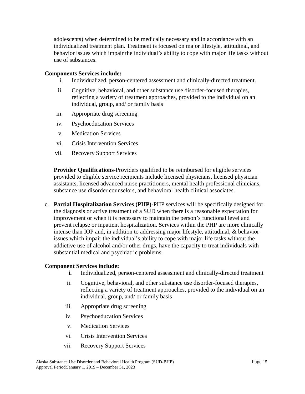adolescents) when determined to be medically necessary and in accordance with an individualized treatment plan. Treatment is focused on major lifestyle, attitudinal, and behavior issues which impair the individual's ability to cope with major life tasks without use of substances.

### **Components Services include:**

- i. Individualized, person-centered assessment and clinically-directed treatment.
- ii. Cognitive, behavioral, and other substance use disorder-focused therapies, reflecting a variety of treatment approaches, provided to the individual on an individual, group, and/ or family basis
- iii. Appropriate drug screening
- iv. Psychoeducation Services
- v. Medication Services
- vi. Crisis Intervention Services
- vii. Recovery Support Services

**Provider Qualifications-**Providers qualified to be reimbursed for eligible services provided to eligible service recipients include licensed physicians, licensed physician assistants, licensed advanced nurse practitioners, mental health professional clinicians, substance use disorder counselors, and behavioral health clinical associates.

c. **Partial Hospitalization Services (PHP)-**PHP services will be specifically designed for the diagnosis or active treatment of a SUD when there is a reasonable expectation for improvement or when it is necessary to maintain the person's functional level and prevent relapse or inpatient hospitalization. Services within the PHP are more clinically intense than IOP and, in addition to addressing major lifestyle, attitudinal, & behavior issues which impair the individual's ability to cope with major life tasks without the addictive use of alcohol and/or other drugs, have the capacity to treat individuals with substantial medical and psychiatric problems.

#### **Component Services include:**

- **i.** Individualized, person-centered assessment and clinically-directed treatment
- ii. Cognitive, behavioral, and other substance use disorder-focused therapies, reflecting a variety of treatment approaches, provided to the individual on an individual, group, and/ or family basis
- iii. Appropriate drug screening
- iv. Psychoeducation Services
- v. Medication Services
- vi. Crisis Intervention Services
- vii. Recovery Support Services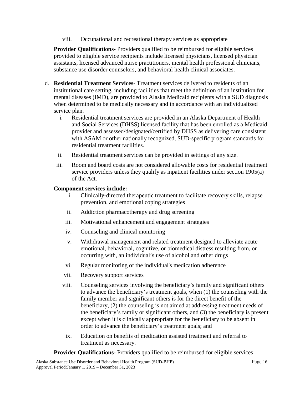viii. Occupational and recreational therapy services as appropriate

**Provider Qualifications-** Providers qualified to be reimbursed for eligible services provided to eligible service recipients include licensed physicians, licensed physician assistants, licensed advanced nurse practitioners, mental health professional clinicians, substance use disorder counselors, and behavioral health clinical associates.

- d. **Residential Treatment Services-** Treatment services delivered to residents of an institutional care setting, including facilities that meet the definition of an institution for mental diseases (IMD), are provided to Alaska Medicaid recipients with a SUD diagnosis when determined to be medically necessary and in accordance with an individualized service plan.
	- i. Residential treatment services are provided in an Alaska Department of Health and Social Services (DHSS) licensed facility that has been enrolled as a Medicaid provider and assessed/designated/certified by DHSS as delivering care consistent with ASAM or other nationally recognized, SUD-specific program standards for residential treatment facilities.
	- ii. Residential treatment services can be provided in settings of any size.
	- iii. Room and board costs are not considered allowable costs for residential treatment service providers unless they qualify as inpatient facilities under section 1905(a) of the Act.

### **Component services include:**

- i. Clinically-directed therapeutic treatment to facilitate recovery skills, relapse prevention, and emotional coping strategies
- ii. Addiction pharmacotherapy and drug screening
- iii. Motivational enhancement and engagement strategies
- iv. Counseling and clinical monitoring
- v. Withdrawal management and related treatment designed to alleviate acute emotional, behavioral, cognitive, or biomedical distress resulting from, or occurring with, an individual's use of alcohol and other drugs
- vi. Regular monitoring of the individual's medication adherence
- vii. Recovery support services
- viii. Counseling services involving the beneficiary's family and significant others to advance the beneficiary's treatment goals, when (1) the counseling with the family member and significant others is for the direct benefit of the beneficiary, (2) the counseling is not aimed at addressing treatment needs of the beneficiary's family or significant others, and (3) the beneficiary is present except when it is clinically appropriate for the beneficiary to be absent in order to advance the beneficiary's treatment goals; and
- ix. Education on benefits of medication assisted treatment and referral to treatment as necessary.

**Provider Qualifications**- Providers qualified to be reimbursed for eligible services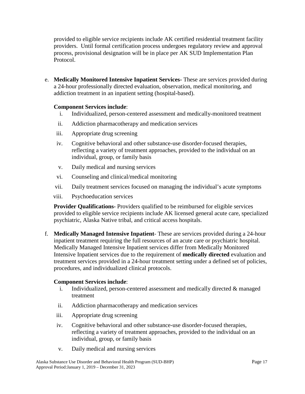provided to eligible service recipients include AK certified residential treatment facility providers. Until formal certification process undergoes regulatory review and approval process, provisional designation will be in place per AK SUD Implementation Plan Protocol.

e. **Medically Monitored Intensive Inpatient Services-** These are services provided during a 24-hour professionally directed evaluation, observation, medical monitoring, and addiction treatment in an inpatient setting (hospital-based).

### **Component Services include**:

- i. Individualized, person-centered assessment and medically-monitored treatment
- ii. Addiction pharmacotherapy and medication services
- iii. Appropriate drug screening
- iv. Cognitive behavioral and other substance-use disorder-focused therapies, reflecting a variety of treatment approaches, provided to the individual on an individual, group, or family basis
- v. Daily medical and nursing services
- vi. Counseling and clinical/medical monitoring
- vii. Daily treatment services focused on managing the individual's acute symptoms
- viii. Psychoeducation services

**Provider Qualifications-** Providers qualified to be reimbursed for eligible services provided to eligible service recipients include AK licensed general acute care, specialized psychiatric, Alaska Native tribal, and critical access hospitals.

f. **Medically Managed Intensive Inpatient**- These are services provided during a 24-hour inpatient treatment requiring the full resources of an acute care or psychiatric hospital. Medically Managed Intensive Inpatient services differ from Medically Monitored Intensive Inpatient services due to the requirement of **medically directed** evaluation and treatment services provided in a 24-hour treatment setting under a defined set of policies, procedures, and individualized clinical protocols.

## **Component Services include**:

- i. Individualized, person-centered assessment and medically directed & managed treatment
- ii. Addiction pharmacotherapy and medication services
- iii. Appropriate drug screening
- iv. Cognitive behavioral and other substance-use disorder-focused therapies, reflecting a variety of treatment approaches, provided to the individual on an individual, group, or family basis
- v. Daily medical and nursing services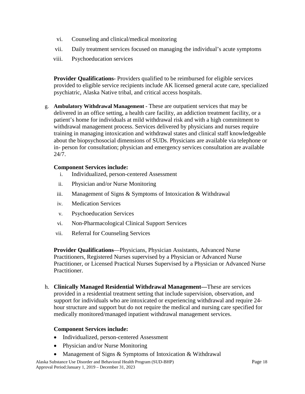- vi. Counseling and clinical/medical monitoring
- vii. Daily treatment services focused on managing the individual's acute symptoms
- viii. Psychoeducation services

**Provider Qualifications-** Providers qualified to be reimbursed for eligible services provided to eligible service recipients include AK licensed general acute care, specialized psychiatric, Alaska Native tribal, and critical access hospitals.

g. **Ambulatory Withdrawal Management -** These are outpatient services that may be delivered in an office setting, a health care facility, an addiction treatment facility, or a patient's home for individuals at mild withdrawal risk and with a high commitment to withdrawal management process. Services delivered by physicians and nurses require training in managing intoxication and withdrawal states and clinical staff knowledgeable about the biopsychosocial dimensions of SUDs. Physicians are available via telephone or in- person for consultation; physician and emergency services consultation are available 24/7.

## **Component Services include:**

- i. Individualized, person-centered Assessment
- ii. Physician and/or Nurse Monitoring
- iii. Management of Signs & Symptoms of Intoxication & Withdrawal
- iv. Medication Services
- v. Psychoeducation Services
- vi. Non-Pharmacological Clinical Support Services
- vii. Referral for Counseling Services

**Provider Qualifications**—Physicians, Physician Assistants, Advanced Nurse Practitioners, Registered Nurses supervised by a Physician or Advanced Nurse Practitioner, or Licensed Practical Nurses Supervised by a Physician or Advanced Nurse Practitioner.

h. **Clinically Managed Residential Withdrawal Management—**These are services provided in a residential treatment setting that include supervision, observation, and support for individuals who are intoxicated or experiencing withdrawal and require 24 hour structure and support but do not require the medical and nursing care specified for medically monitored/managed inpatient withdrawal management services.

## **Component Services include:**

- Individualized, person-centered Assessment
- Physician and/or Nurse Monitoring
- Management of Signs & Symptoms of Intoxication & Withdrawal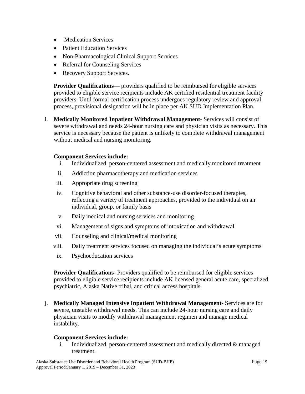- Medication Services
- Patient Education Services
- Non-Pharmacological Clinical Support Services
- Referral for Counseling Services
- Recovery Support Services.

**Provider Qualifications**— providers qualified to be reimbursed for eligible services provided to eligible service recipients include AK certified residential treatment facility providers. Until formal certification process undergoes regulatory review and approval process, provisional designation will be in place per AK SUD Implementation Plan.

i. **Medically Monitored Inpatient Withdrawal Management-** Services will consist of severe withdrawal and needs 24-hour nursing care and physician visits as necessary. This service is necessary because the patient is unlikely to complete withdrawal management without medical and nursing monitoring.

### **Component Services include:**

- i. Individualized, person-centered assessment and medically monitored treatment
- ii. Addiction pharmacotherapy and medication services
- iii. Appropriate drug screening
- iv. Cognitive behavioral and other substance-use disorder-focused therapies, reflecting a variety of treatment approaches, provided to the individual on an individual, group, or family basis
- v. Daily medical and nursing services and monitoring
- vi. Management of signs and symptoms of intoxication and withdrawal
- vii. Counseling and clinical/medical monitoring
- viii. Daily treatment services focused on managing the individual's acute symptoms
- ix. Psychoeducation services

**Provider Qualifications**- Providers qualified to be reimbursed for eligible services provided to eligible service recipients include AK licensed general acute care, specialized psychiatric, Alaska Native tribal, and critical access hospitals.

j. **Medically Managed Intensive Inpatient Withdrawal Management-** Services are for **s**evere, unstable withdrawal needs. This can include 24-hour nursing care and daily physician visits to modify withdrawal management regimen and manage medical instability.

### **Component Services include:**

i. Individualized, person-centered assessment and medically directed & managed treatment.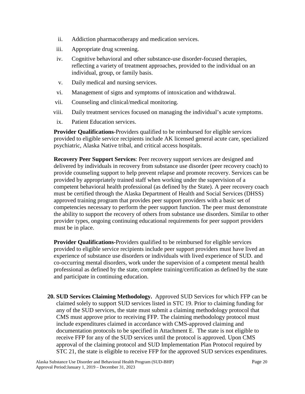- ii. Addiction pharmacotherapy and medication services.
- iii. Appropriate drug screening.
- iv. Cognitive behavioral and other substance-use disorder-focused therapies, reflecting a variety of treatment approaches, provided to the individual on an individual, group, or family basis.
- v. Daily medical and nursing services.
- vi. Management of signs and symptoms of intoxication and withdrawal.
- vii. Counseling and clinical/medical monitoring.
- viii. Daily treatment services focused on managing the individual's acute symptoms.
- ix. Patient Education services.

**Provider Qualifications**-Providers qualified to be reimbursed for eligible services provided to eligible service recipients include AK licensed general acute care, specialized psychiatric, Alaska Native tribal, and critical access hospitals.

**Recovery Peer Support Services**: Peer recovery support services are designed and delivered by individuals in recovery from substance use disorder (peer recovery coach) to provide counseling support to help prevent relapse and promote recovery. Services can be provided by appropriately trained staff when working under the supervision of a competent behavioral health professional (as defined by the State). A peer recovery coach must be certified through the Alaska Department of Health and Social Services (DHSS) approved training program that provides peer support providers with a basic set of competencies necessary to perform the peer support function. The peer must demonstrate the ability to support the recovery of others from substance use disorders. Similar to other provider types, ongoing continuing educational requirements for peer support providers must be in place.

**Provider Qualifications-**Providers qualified to be reimbursed for eligible services provided to eligible service recipients include peer support providers must have lived an experience of substance use disorders or individuals with lived experience of SUD. and co-occurring mental disorders, work under the supervision of a competent mental health professional as defined by the state, complete training/certification as defined by the state and participate in continuing education.

**20. SUD Services Claiming Methodology.** Approved SUD Services for which FFP can be claimed solely to support SUD services listed in STC 19. Prior to claiming funding for any of the SUD services, the state must submit a claiming methodology protocol that CMS must approve prior to receiving FFP. The claiming methodology protocol must include expenditures claimed in accordance with CMS-approved claiming and documentation protocols to be specified in Attachment E. The state is not eligible to receive FFP for any of the SUD services until the protocol is approved. Upon CMS approval of the claiming protocol and SUD Implementation Plan Protocol required by STC 21, the state is eligible to receive FFP for the approved SUD services expenditures.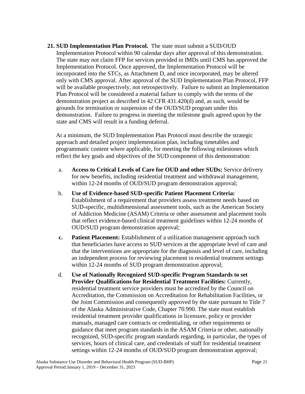**21. SUD Implementation Plan Protocol.** The state must submit a SUD/OUD Implementation Protocol within 90 calendar days after approval of this demonstration. The state may not claim FFP for services provided in IMDs until CMS has approved the Implementation Protocol. Once approved, the Implementation Protocol will be incorporated into the STCs, as Attachment D, and once incorporated, may be altered only with CMS approval. After approval of the SUD Implementation Plan Protocol, FFP will be available prospectively, not retrospectively. Failure to submit an Implementation Plan Protocol will be considered a material failure to comply with the terms of the demonstration project as described in 42 CFR 431.420(d) and, as such, would be grounds for termination or suspension of the OUD/SUD program under this demonstration. Failure to progress in meeting the milestone goals agreed upon by the state and CMS will result in a funding deferral.

At a minimum, the SUD Implementation Plan Protocol must describe the strategic approach and detailed project implementation plan, including timetables and programmatic content where applicable, for meeting the following milestones which reflect the key goals and objectives of the SUD component of this demonstration:

- a. **Access to Critical Levels of Care for OUD and other SUDs:** Service delivery for new benefits, including residential treatment and withdrawal management, within 12-24 months of OUD/SUD program demonstration approval;
- b. **Use of Evidence-based SUD-specific Patient Placement Criteria:** Establishment of a requirement that providers assess treatment needs based on SUD-specific, multidimensional assessment tools, such as the American Society of Addiction Medicine (ASAM) Criteria or other assessment and placement tools that reflect evidence-based clinical treatment guidelines within 12-24 months of OUD/SUD program demonstration approval;
- **c. Patient Placement:** Establishment of a utilization management approach such that beneficiaries have access to SUD services at the appropriate level of care and that the interventions are appropriate for the diagnosis and level of care, including an independent process for reviewing placement in residential treatment settings within 12-24 months of SUD program demonstration approval;
- d. **Use of Nationally Recognized SUD-specific Program Standards to set Provider Qualifications for Residential Treatment Facilities:** Currently, residential treatment service providers must be accredited by the Council on Accreditation, the Commission on Accreditation for Rehabilitation Facilities, or the Joint Commission and consequently approved by the state pursuant to Title 7 of the Alaska Administrative Code, Chapter 70.990*.* The state must establish residential treatment provider qualifications in licensure, policy or provider manuals, managed care contracts or credentialing, or other requirements or guidance that meet program standards in the ASAM Criteria or other, nationally recognized, SUD-specific program standards regarding, in particular, the types of services, hours of clinical care, and credentials of staff for residential treatment settings within 12-24 months of OUD/SUD program demonstration approval;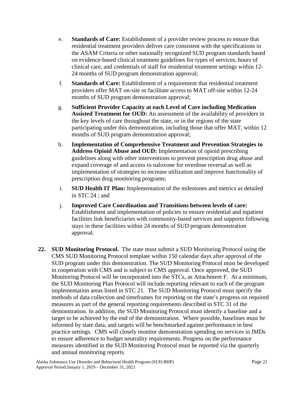- e. **Standards of Care:** Establishment of a provider review process to ensure that residential treatment providers deliver care consistent with the specifications in the ASAM Criteria or other nationally recognized SUD program standards based on evidence-based clinical treatment guidelines for types of services, hours of clinical care, and credentials of staff for residential treatment settings within 12- 24 months of SUD program demonstration approval;
- f. **Standards of Care:** Establishment of a requirement that residential treatment providers offer MAT on-site or facilitate access to MAT off-site within 12-24 months of SUD program demonstration approval;
- g. **Sufficient Provider Capacity at each Level of Care including Medication Assisted Treatment for OUD:** An assessment of the availability of providers in the key levels of care throughout the state, or in the regions of the state participating under this demonstration, including those that offer MAT, within 12 months of SUD program demonstration approval;
- h. **Implementation of Comprehensive Treatment and Prevention Strategies to Address Opioid Abuse and OUD:** Implementation of opioid prescribing guidelines along with other interventions to prevent prescription drug abuse and expand coverage of and access to naloxone for overdose reversal as well as implementation of strategies to increase utilization and improve functionality of prescription drug monitoring programs;
- i. **SUD Health IT Plan:** Implementation of the milestones and metrics as detailed in STC 24 ; and
- j. **Improved Care Coordination and Transitions between levels of care:** Establishment and implementation of policies to ensure residential and inpatient facilities link beneficiaries with community-based services and supports following stays in these facilities within 24 months of SUD program demonstration approval.
- **22. SUD Monitoring Protocol.** The state must submit a SUD Monitoring Protocol using the CMS SUD Monitoring Protocol template within 150 calendar days after approval of the SUD program under this demonstration. The SUD Monitoring Protocol must be developed in cooperation with CMS and is subject to CMS approval. Once approved, the SUD Monitoring Protocol will be incorporated into the STCs, as Attachment F. At a minimum, the SUD Monitoring Plan Protocol will include reporting relevant to each of the program implementation areas listed in STC 21. The SUD Monitoring Protocol must specify the methods of data collection and timeframes for reporting on the state's progress on required measures as part of the general reporting requirements described in STC 31 of the demonstration. In addition, the SUD Monitoring Protocol must identify a baseline and a target to be achieved by the end of the demonstration. Where possible, baselines must be informed by state data, and targets will be benchmarked against performance in best practice settings. CMS will closely monitor demonstration spending on services in IMDs to ensure adherence to budget neutrality requirements. Progress on the performance measures identified in the SUD Monitoring Protocol must be reported via the quarterly and annual monitoring reports.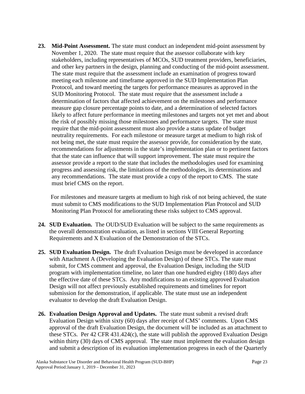**23. Mid-Point Assessment.** The state must conduct an independent mid-point assessment by November 1, 2020. The state must require that the assessor collaborate with key stakeholders, including representatives of MCOs, SUD treatment providers, beneficiaries, and other key partners in the design, planning and conducting of the mid-point assessment. The state must require that the assessment include an examination of progress toward meeting each milestone and timeframe approved in the SUD Implementation Plan Protocol, and toward meeting the targets for performance measures as approved in the SUD Monitoring Protocol.The state must require that the assessment include a determination of factors that affected achievement on the milestones and performance measure gap closure percentage points to date, and a determination of selected factors likely to affect future performance in meeting milestones and targets not yet met and about the risk of possibly missing those milestones and performance targets. The state must require that the mid-point assessment must also provide a status update of budget neutrality requirements. For each milestone or measure target at medium to high risk of not being met, the state must require the assessor provide, for consideration by the state, recommendations for adjustments in the state's implementation plan or to pertinent factors that the state can influence that will support improvement. The state must require the assessor provide a report to the state that includes the methodologies used for examining progress and assessing risk, the limitations of the methodologies, its determinations and any recommendations. The state must provide a copy of the report to CMS. The state must brief CMS on the report.

For milestones and measure targets at medium to high risk of not being achieved, the state must submit to CMS modifications to the SUD Implementation Plan Protocol and SUD Monitoring Plan Protocol for ameliorating these risks subject to CMS approval.

- **24. SUD Evaluation.** The OUD/SUD Evaluation will be subject to the same requirements as the overall demonstration evaluation, as listed in sections VIII General Reporting Requirements and X Evaluation of the Demonstration of the STCs.
- **25. SUD Evaluation Design.** The draft Evaluation Design must be developed in accordance with Attachment A (Developing the Evaluation Design) of these STCs. The state must submit, for CMS comment and approval, the Evaluation Design, including the SUD program with implementation timeline, no later than one hundred eighty (180) days after the effective date of these STCs. Any modifications to an existing approved Evaluation Design will not affect previously established requirements and timelines for report submission for the demonstration, if applicable. The state must use an independent evaluator to develop the draft Evaluation Design.
- **26. Evaluation Design Approval and Updates.** The state must submit a revised draft Evaluation Design within sixty (60) days after receipt of CMS' comments. Upon CMS approval of the draft Evaluation Design, the document will be included as an attachment to these STCs. Per 42 CFR 431.424(c), the state will publish the approved Evaluation Design within thirty (30) days of CMS approval. The state must implement the evaluation design and submit a description of its evaluation implementation progress in each of the Quarterly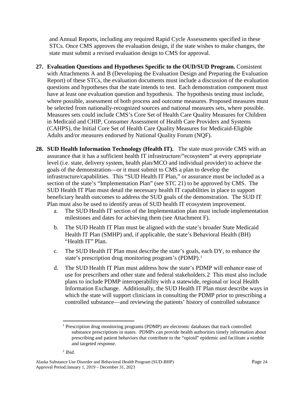and Annual Reports, including any required Rapid Cycle Assessments specified in these STCs. Once CMS approves the evaluation design, if the state wishes to make changes, the state must submit a revised evaluation design to CMS for approval.

- **27. Evaluation Questions and Hypotheses Specific to the OUD/SUD Program.** Consistent with Attachments A and B (Developing the Evaluation Design and Preparing the Evaluation Report) of these STCs, the evaluation documents must include a discussion of the evaluation questions and hypotheses that the state intends to test. Each demonstration component must have at least one evaluation question and hypothesis. The hypothesis testing must include, where possible, assessment of both process and outcome measures. Proposed measures must be selected from nationally-recognized sources and national measures sets, where possible. Measures sets could include CMS's Core Set of Health Care Quality Measures for Children in Medicaid and CHIP, Consumer Assessment of Health Care Providers and Systems (CAHPS), the Initial Core Set of Health Care Quality Measures for Medicaid-Eligible Adults and/or measures endorsed by National Quality Forum (NQF).
- **28. SUD Health Information Technology (Health IT).** The state must provide CMS with an assurance that it has a sufficient health IT infrastructure/"ecosystem" at every appropriate level (i.e. state, delivery system, health plan/MCO and individual provider) to achieve the goals of the demonstration—or it must submit to CMS a plan to develop the infrastructure/capabilities. This "SUD Health IT Plan," or assurance must be included as a section of the state's "Implementation Plan" (see STC 21) to be approved by CMS. The SUD Health IT Plan must detail the necessary health IT capabilities in place to support beneficiary health outcomes to address the SUD goals of the demonstration. The SUD IT Plan must also be used to identify areas of SUD health IT ecosystem improvement.
	- a. The SUD Health IT section of the Implementation plan must include implementation milestones and dates for achieving them (see Attachment F).
	- b. The SUD Health IT Plan must be aligned with the state's broader State Medicaid Health IT Plan (SMHP) and, if applicable, the state's Behavioral Health (BH) "Health IT" Plan.
	- c. The SUD Health IT Plan must describe the state's goals, each DY, to enhance the state's prescription drug monitoring program's (PDMP). [1](#page-26-0)
	- d. The SUD Health IT Plan must address how the state's PDMP will enhance ease of use for prescribers and other state and federal stakeholders.[2](#page-26-1) This must also include plans to include PDMP interoperability with a statewide, regional or local Health Information Exchange. Additionally, the SUD Health IT Plan must describe ways in which the state will support clinicians in consulting the PDMP prior to prescribing a controlled substance—and reviewing the patients' history of controlled substance

<span id="page-26-1"></span><span id="page-26-0"></span><sup>&</sup>lt;sup>1</sup> Prescription drug monitoring programs (PDMP) are electronic databases that track controlled substance prescriptions in states. PDMPs can provide health authorities timely information about prescribing and patient behaviors that contribute to the "opioid" epidemic and facilitate a nimble and targeted response.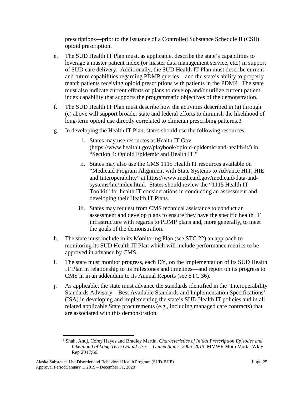prescriptions—prior to the issuance of a Controlled Substance Schedule II (CSII) opioid prescription.

- e. The SUD Health IT Plan must, as applicable, describe the state's capabilities to leverage a master patient index (or master data management service, etc.) in support of SUD care delivery. Additionally, the SUD Health IT Plan must describe current and future capabilities regarding PDMP queries—and the state's ability to properly match patients receiving opioid prescriptions with patients in the PDMP. The state must also indicate current efforts or plans to develop and/or utilize current patient index capability that supports the programmatic objectives of the demonstration.
- f. The SUD Health IT Plan must describe how the activities described in (a) through (e) above will support broader state and federal efforts to diminish the likelihood of long-term opioid use directly correlated to clinician prescribing patterns.[3](#page-27-0)
- g. In developing the Health IT Plan, states should use the following resources:
	- i. States may use resources at Health IT.Gov (https://www.healthit.gov/playbook/opioid-epidemic-and-health-it/) in "Section 4: Opioid Epidemic and Health IT."
	- ii. States may also use the CMS 1115 Health IT resources available on "Medicaid Program Alignment with State Systems to Advance HIT, HIE and Interoperability" at https://www.medicaid.gov/medicaid/data-andsystems/hie/index.html. States should review the "1115 Health IT Toolkit" for health IT considerations in conducting an assessment and developing their Health IT Plans.
	- iii. States may request from CMS technical assistance to conduct an assessment and develop plans to ensure they have the specific health IT infrastructure with regards to PDMP plans and, more generally, to meet the goals of the demonstration.
- h. The state must include in its Monitoring Plan (see STC 22) an approach to monitoring its SUD Health IT Plan which will include performance metrics to be approved in advance by CMS.
- i. The state must monitor progress, each DY, on the implementation of its SUD Health IT Plan in relationship to its milestones and timelines—and report on its progress to CMS in in an addendum to its Annual Reports (see STC 36).
- j. As applicable, the state must advance the standards identified in the 'Interoperability Standards Advisory—Best Available Standards and Implementation Specifications' (ISA) in developing and implementing the state's SUD Health IT policies and in all related applicable State procurements (e.g., including managed care contracts) that are associated with this demonstration.

<span id="page-27-0"></span> <sup>3</sup> Shah, Anuj, Corey Hayes and Bradley Martin. *Characteristics of Initial Prescription Episodes and Likelihood of Long-Term Opioid Use — United States, 2006–2015*. MMWR Morb Mortal Wkly Rep 2017;66.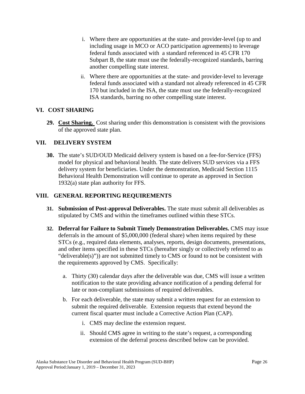- i. Where there are opportunities at the state- and provider-level (up to and including usage in MCO or ACO participation agreements) to leverage federal funds associated with a standard referenced in 45 CFR 170 Subpart B, the state must use the federally-recognized standards, barring another compelling state interest.
- ii. Where there are opportunities at the state- and provider-level to leverage federal funds associated with a standard not already referenced in 45 CFR 170 but included in the ISA, the state must use the federally-recognized ISA standards, barring no other compelling state interest.

## **VI. COST SHARING**

**29. Cost Sharing.** Cost sharing under this demonstration is consistent with the provisions of the approved state plan.

## **VII. DELIVERY SYSTEM**

**30.** The state's SUD/OUD Medicaid delivery system is based on a fee-for-Service (FFS) model for physical and behavioral health. The state delivers SUD services via a FFS delivery system for beneficiaries. Under the demonstration, Medicaid Section 1115 Behavioral Health Demonstration will continue to operate as approved in Section 1932(a) state plan authority for FFS.

## **VIII. GENERAL REPORTING REQUIREMENTS**

- **31. Submission of Post-approval Deliverables.** The state must submit all deliverables as stipulated by CMS and within the timeframes outlined within these STCs.
- **32. Deferral for Failure to Submit Timely Demonstration Deliverables.** CMS may issue deferrals in the amount of \$5,000,000 (federal share) when items required by these STCs (e.g., required data elements, analyses, reports, design documents, presentations, and other items specified in these STCs (hereafter singly or collectively referred to as "deliverable(s)")) are not submitted timely to CMS or found to not be consistent with the requirements approved by CMS. Specifically:
	- a. Thirty (30) calendar days after the deliverable was due, CMS will issue a written notification to the state providing advance notification of a pending deferral for late or non-compliant submissions of required deliverables.
	- b. For each deliverable, the state may submit a written request for an extension to submit the required deliverable. Extension requests that extend beyond the current fiscal quarter must include a Corrective Action Plan (CAP).
		- i. CMS may decline the extension request.
		- ii. Should CMS agree in writing to the state's request, a corresponding extension of the deferral process described below can be provided.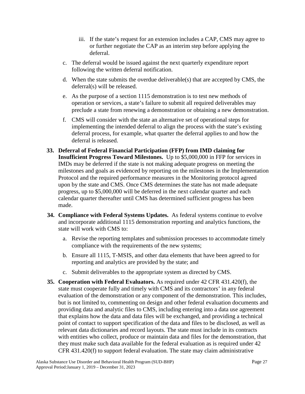- iii. If the state's request for an extension includes a CAP, CMS may agree to or further negotiate the CAP as an interim step before applying the deferral.
- c. The deferral would be issued against the next quarterly expenditure report following the written deferral notification.
- d. When the state submits the overdue deliverable(s) that are accepted by CMS, the deferral(s) will be released.
- e. As the purpose of a section 1115 demonstration is to test new methods of operation or services, a state's failure to submit all required deliverables may preclude a state from renewing a demonstration or obtaining a new demonstration.
- f. CMS will consider with the state an alternative set of operational steps for implementing the intended deferral to align the process with the state's existing deferral process, for example, what quarter the deferral applies to and how the deferral is released.
- **33. Deferral of Federal Financial Participation (FFP) from IMD claiming for Insufficient Progress Toward Milestones.** Up to \$5,000,000 in FFP for services in IMDs may be deferred if the state is not making adequate progress on meeting the milestones and goals as evidenced by reporting on the milestones in the Implementation Protocol and the required performance measures in the Monitoring protocol agreed upon by the state and CMS. Once CMS determines the state has not made adequate progress, up to \$5,000,000 will be deferred in the next calendar quarter and each calendar quarter thereafter until CMS has determined sufficient progress has been made.
- **34. Compliance with Federal Systems Updates.** As federal systems continue to evolve and incorporate additional 1115 demonstration reporting and analytics functions, the state will work with CMS to:
	- a. Revise the reporting templates and submission processes to accommodate timely compliance with the requirements of the new systems;
	- b. Ensure all 1115, T-MSIS, and other data elements that have been agreed to for reporting and analytics are provided by the state; and
	- c. Submit deliverables to the appropriate system as directed by CMS.
- **35. Cooperation with Federal Evaluators.** As required under 42 CFR 431.420(f), the state must cooperate fully and timely with CMS and its contractors' in any federal evaluation of the demonstration or any component of the demonstration. This includes, but is not limited to, commenting on design and other federal evaluation documents and providing data and analytic files to CMS, including entering into a data use agreement that explains how the data and data files will be exchanged, and providing a technical point of contact to support specification of the data and files to be disclosed, as well as relevant data dictionaries and record layouts. The state must include in its contracts with entities who collect, produce or maintain data and files for the demonstration, that they must make such data available for the federal evaluation as is required under 42 CFR 431.420(f) to support federal evaluation. The state may claim administrative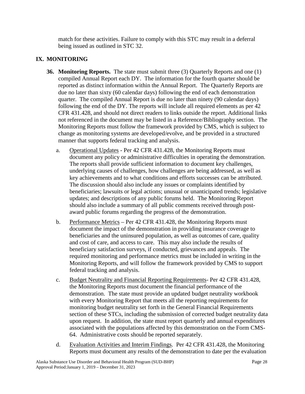match for these activities. Failure to comply with this STC may result in a deferral being issued as outlined in STC 32.

# **IX. MONITORING**

- **36. Monitoring Reports.** The state must submit three (3) Quarterly Reports and one (1) compiled Annual Report each DY. The information for the fourth quarter should be reported as distinct information within the Annual Report. The Quarterly Reports are due no later than sixty (60 calendar days) following the end of each demonstration quarter. The compiled Annual Report is due no later than ninety (90 calendar days) following the end of the DY. The reports will include all required elements as per 42 CFR 431.428, and should not direct readers to links outside the report. Additional links not referenced in the document may be listed in a Reference/Bibliography section. The Monitoring Reports must follow the framework provided by CMS, which is subject to change as monitoring systems are developed/evolve, and be provided in a structured manner that supports federal tracking and analysis.
	- a. Operational Updates Per 42 CFR 431.428, the Monitoring Reports must document any policy or administrative difficulties in operating the demonstration. The reports shall provide sufficient information to document key challenges, underlying causes of challenges, how challenges are being addressed, as well as key achievements and to what conditions and efforts successes can be attributed. The discussion should also include any issues or complaints identified by beneficiaries; lawsuits or legal actions; unusual or unanticipated trends; legislative updates; and descriptions of any public forums held. The Monitoring Report should also include a summary of all public comments received through postaward public forums regarding the progress of the demonstration.
	- b. Performance Metrics Per 42 CFR 431.428, the Monitoring Reports must document the impact of the demonstration in providing insurance coverage to beneficiaries and the uninsured population, as well as outcomes of care, quality and cost of care, and access to care. This may also include the results of beneficiary satisfaction surveys, if conducted, grievances and appeals. The required monitoring and performance metrics must be included in writing in the Monitoring Reports, and will follow the framework provided by CMS to support federal tracking and analysis.
	- c. Budget Neutrality and Financial Reporting Requirements- Per 42 CFR 431.428, the Monitoring Reports must document the financial performance of the demonstration. The state must provide an updated budget neutrality workbook with every Monitoring Report that meets all the reporting requirements for monitoring budget neutrality set forth in the General Financial Requirements section of these STCs, including the submission of corrected budget neutrality data upon request. In addition, the state must report quarterly and annual expenditures associated with the populations affected by this demonstration on the Form CMS-64. Administrative costs should be reported separately.
	- d. Evaluation Activities and Interim Findings. Per 42 CFR 431.428, the Monitoring Reports must document any results of the demonstration to date per the evaluation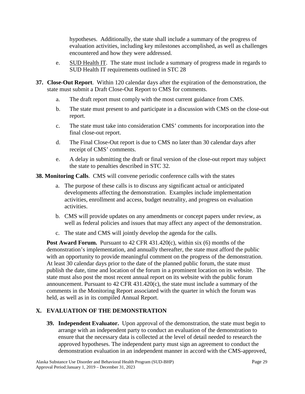hypotheses. Additionally, the state shall include a summary of the progress of evaluation activities, including key milestones accomplished, as well as challenges encountered and how they were addressed.

- e. SUD Health IT. The state must include a summary of progress made in regards to SUD Health IT requirements outlined in STC 28
- **37. Close-Out Report**. Within 120 calendar days after the expiration of the demonstration, the state must submit a Draft Close-Out Report to CMS for comments.
	- a. The draft report must comply with the most current guidance from CMS.
	- b. The state must present to and participate in a discussion with CMS on the close-out report.
	- c. The state must take into consideration CMS' comments for incorporation into the final close-out report.
	- d. The Final Close-Out report is due to CMS no later than 30 calendar days after receipt of CMS' comments.
	- e. A delay in submitting the draft or final version of the close-out report may subject the state to penalties described in STC 32.

**38. Monitoring Calls**. CMS will convene periodic conference calls with the states

- a. The purpose of these calls is to discuss any significant actual or anticipated developments affecting the demonstration. Examples include implementation activities, enrollment and access, budget neutrality, and progress on evaluation activities.
- b. CMS will provide updates on any amendments or concept papers under review, as well as federal policies and issues that may affect any aspect of the demonstration.
- c. The state and CMS will jointly develop the agenda for the calls.

**Post Award Forum.** Pursuant to 42 CFR 431.420(c), within six (6) months of the demonstration's implementation, and annually thereafter, the state must afford the public with an opportunity to provide meaningful comment on the progress of the demonstration. At least 30 calendar days prior to the date of the planned public forum, the state must publish the date, time and location of the forum in a prominent location on its website. The state must also post the most recent annual report on its website with the public forum announcement. Pursuant to 42 CFR 431.420(c), the state must include a summary of the comments in the Monitoring Report associated with the quarter in which the forum was held, as well as in its compiled Annual Report.

# **X. EVALUATION OF THE DEMONSTRATION**

**39. Independent Evaluator.** Upon approval of the demonstration, the state must begin to arrange with an independent party to conduct an evaluation of the demonstration to ensure that the necessary data is collected at the level of detail needed to research the approved hypotheses. The independent party must sign an agreement to conduct the demonstration evaluation in an independent manner in accord with the CMS-approved,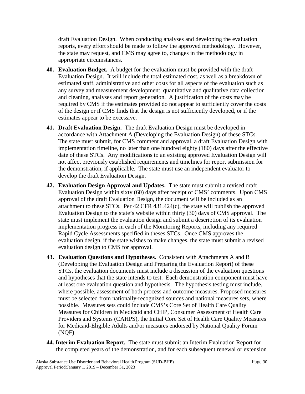draft Evaluation Design. When conducting analyses and developing the evaluation reports, every effort should be made to follow the approved methodology. However, the state may request, and CMS may agree to, changes in the methodology in appropriate circumstances.

- **40. Evaluation Budget.** A budget for the evaluation must be provided with the draft Evaluation Design. It will include the total estimated cost, as well as a breakdown of estimated staff, administrative and other costs for all aspects of the evaluation such as any survey and measurement development, quantitative and qualitative data collection and cleaning, analyses and report generation. A justification of the costs may be required by CMS if the estimates provided do not appear to sufficiently cover the costs of the design or if CMS finds that the design is not sufficiently developed, or if the estimates appear to be excessive.
- **41. Draft Evaluation Design.** The draft Evaluation Design must be developed in accordance with Attachment A (Developing the Evaluation Design) of these STCs. The state must submit, for CMS comment and approval, a draft Evaluation Design with implementation timeline, no later than one hundred eighty (180) days after the effective date of these STCs. Any modifications to an existing approved Evaluation Design will not affect previously established requirements and timelines for report submission for the demonstration, if applicable. The state must use an independent evaluator to develop the draft Evaluation Design.
- **42. Evaluation Design Approval and Updates.** The state must submit a revised draft Evaluation Design within sixty (60) days after receipt of CMS' comments. Upon CMS approval of the draft Evaluation Design, the document will be included as an attachment to these STCs. Per 42 CFR 431.424(c), the state will publish the approved Evaluation Design to the state's website within thirty (30) days of CMS approval. The state must implement the evaluation design and submit a description of its evaluation implementation progress in each of the Monitoring Reports, including any required Rapid Cycle Assessments specified in theses STCs. Once CMS approves the evaluation design, if the state wishes to make changes, the state must submit a revised evaluation design to CMS for approval.
- **43. Evaluation Questions and Hypotheses.** Consistent with Attachments A and B (Developing the Evaluation Design and Preparing the Evaluation Report) of these STCs, the evaluation documents must include a discussion of the evaluation questions and hypotheses that the state intends to test. Each demonstration component must have at least one evaluation question and hypothesis. The hypothesis testing must include, where possible, assessment of both process and outcome measures. Proposed measures must be selected from nationally-recognized sources and national measures sets, where possible. Measures sets could include CMS's Core Set of Health Care Quality Measures for Children in Medicaid and CHIP, Consumer Assessment of Health Care Providers and Systems (CAHPS), the Initial Core Set of Health Care Quality Measures for Medicaid-Eligible Adults and/or measures endorsed by National Quality Forum (NQF).
- **44. Interim Evaluation Report.** The state must submit an Interim Evaluation Report for the completed years of the demonstration, and for each subsequent renewal or extension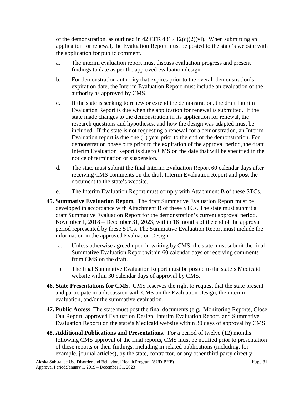of the demonstration, as outlined in 42 CFR 431.412(c)(2)(vi). When submitting an application for renewal, the Evaluation Report must be posted to the state's website with the application for public comment.

- a. The interim evaluation report must discuss evaluation progress and present findings to date as per the approved evaluation design.
- b. For demonstration authority that expires prior to the overall demonstration's expiration date, the Interim Evaluation Report must include an evaluation of the authority as approved by CMS.
- c. If the state is seeking to renew or extend the demonstration, the draft Interim Evaluation Report is due when the application for renewal is submitted. If the state made changes to the demonstration in its application for renewal, the research questions and hypotheses, and how the design was adapted must be included. If the state is not requesting a renewal for a demonstration, an Interim Evaluation report is due one (1) year prior to the end of the demonstration. For demonstration phase outs prior to the expiration of the approval period, the draft Interim Evaluation Report is due to CMS on the date that will be specified in the notice of termination or suspension.
- d. The state must submit the final Interim Evaluation Report 60 calendar days after receiving CMS comments on the draft Interim Evaluation Report and post the document to the state's website.
- e. The Interim Evaluation Report must comply with Attachment B of these STCs.
- **45. Summative Evaluation Report.** The draft Summative Evaluation Report must be developed in accordance with Attachment B of these STCs. The state must submit a draft Summative Evaluation Report for the demonstration's current approval period, November 1, 2018 – December 31, 2023, within 18 months of the end of the approval period represented by these STCs. The Summative Evaluation Report must include the information in the approved Evaluation Design.
	- a. Unless otherwise agreed upon in writing by CMS, the state must submit the final Summative Evaluation Report within 60 calendar days of receiving comments from CMS on the draft.
	- b. The final Summative Evaluation Report must be posted to the state's Medicaid website within 30 calendar days of approval by CMS.
- **46. State Presentations for CMS.** CMS reserves the right to request that the state present and participate in a discussion with CMS on the Evaluation Design, the interim evaluation, and/or the summative evaluation.
- **47. Public Access**. The state must post the final documents (e.g., Monitoring Reports, Close Out Report, approved Evaluation Design, Interim Evaluation Report, and Summative Evaluation Report) on the state's Medicaid website within 30 days of approval by CMS.
- **48. Additional Publications and Presentations.** For a period of twelve (12) months following CMS approval of the final reports, CMS must be notified prior to presentation of these reports or their findings, including in related publications (including, for example, journal articles), by the state, contractor, or any other third party directly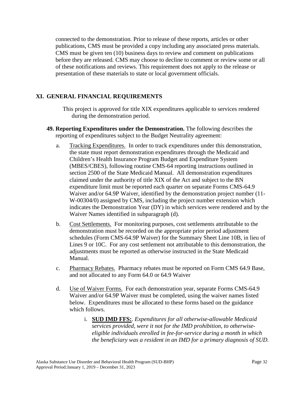connected to the demonstration. Prior to release of these reports, articles or other publications, CMS must be provided a copy including any associated press materials. CMS must be given ten (10) business days to review and comment on publications before they are released. CMS may choose to decline to comment or review some or all of these notifications and reviews. This requirement does not apply to the release or presentation of these materials to state or local government officials.

### **[XI.](#page-6-1) GENERAL FINANCIAL REQUIREMENTS**

This project is approved for title XIX expenditures applicable to services rendered during the demonstration period.

- **49. Reporting Expenditures under the Demonstration.** The following describes the reporting of expenditures subject to the Budget Neutrality agreement:
	- a. Tracking Expenditures. In order to track expenditures under this demonstration, the state must report demonstration expenditures through the Medicaid and Children's Health Insurance Program Budget and Expenditure System (MBES/CBES), following routine CMS-64 reporting instructions outlined in section 2500 of the State Medicaid Manual. All demonstration expenditures claimed under the authority of title XIX of the Act and subject to the BN expenditure limit must be reported each quarter on separate Forms CMS-64.9 Waiver and/or 64.9P Waiver, identified by the demonstration project number (11- W-00304/0) assigned by CMS, including the project number extension which indicates the Demonstration Year (DY) in which services were rendered and by the Waiver Names identified in subparagraph (d).
	- b. Cost Settlements. For monitoring purposes, cost settlements attributable to the demonstration must be recorded on the appropriate prior period adjustment schedules (Form CMS-64.9P Waiver) for the Summary Sheet Line 10B, in lieu of Lines 9 or 10C. For any cost settlement not attributable to this demonstration, the adjustments must be reported as otherwise instructed in the State Medicaid Manual.
	- c. Pharmacy Rebates. Pharmacy rebates must be reported on Form CMS 64.9 Base, and not allocated to any Form 64.0 or 64.9 Waiver
	- d. Use of Waiver Forms. For each demonstration year, separate Forms CMS-64.9 Waiver and/or 64.9P Waiver must be completed, using the waiver names listed below. Expenditures must be allocated to these forms based on the guidance which follows.
		- i. **SUD IMD FFS:**. *Expenditures for all otherwise-allowable Medicaid services provided, were it not for the IMD prohibition, to otherwiseeligible individuals enrolled in fee-for-service during a month in which the beneficiary was a resident in an IMD for a primary diagnosis of SUD.*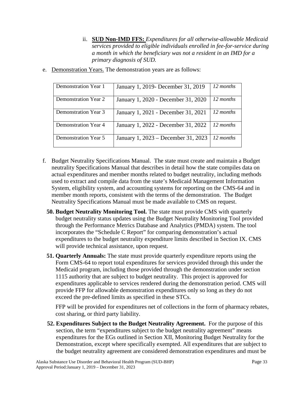- ii. **SUD Non-IMD FFS:** *Expenditures for all otherwise-allowable Medicaid services provided to eligible individuals enrolled in fee-for-service during a month in which the beneficiary was not a resident in an IMD for a primary diagnosis of SUD.*
- e. Demonstration Years. The demonstration years are as follows:

| Demonstration Year 1 | January 1, 2019 December 31, 2019   | 12 months |
|----------------------|-------------------------------------|-----------|
| Demonstration Year 2 | January 1, 2020 - December 31, 2020 | 12 months |
| Demonstration Year 3 | January 1, 2021 - December 31, 2021 | 12 months |
| Demonstration Year 4 | January 1, 2022 - December 31, 2022 | 12 months |
| Demonstration Year 5 | January 1, 2023 – December 31, 2023 | 12 months |

- f. Budget Neutrality Specifications Manual. The state must create and maintain a Budget neutrality Specifications Manual that describes in detail how the state compiles data on actual expenditures and member months related to budget neutrality, including methods used to extract and compile data from the state's Medicaid Management Information System, eligibility system, and accounting systems for reporting on the CMS-64 and in member month reports, consistent with the terms of the demonstration. The Budget Neutrality Specifications Manual must be made available to CMS on request.
	- **50. Budget Neutrality Monitoring Tool.** The state must provide CMS with quarterly budget neutrality status updates using the Budget Neutrality Monitoring Tool provided through the Performance Metrics Database and Analytics (PMDA) system. The tool incorporates the "Schedule C Report" for comparing demonstration's actual expenditures to the budget neutrality expenditure limits described in Section IX. CMS will provide technical assistance, upon request.
	- **51. Quarterly Annuals:** The state must provide quarterly expenditure reports using the Form CMS-64 to report total expenditures for services provided through this under the Medicaid program, including those provided through the demonstration under section 1115 authority that are subject to budget neutrality. This project is approved for expenditures applicable to services rendered during the demonstration period. CMS will provide FFP for allowable demonstration expenditures only so long as they do not exceed the pre-defined limits as specified in these STCs.

FFP will be provided for expenditures net of collections in the form of pharmacy rebates, cost sharing, or third party liability.

**52. Expenditures Subject to the Budget Neutrality Agreement.** For the purpose of this section, the term "expenditures subject to the budget neutrality agreement" means expenditures for the EGs outlined in Section XII, Monitoring Budget Neutrality for the Demonstration, except where specifically exempted. All expenditures that are subject to the budget neutrality agreement are considered demonstration expenditures and must be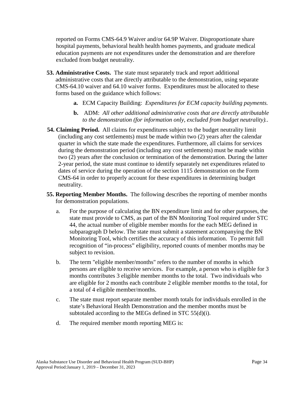reported on Forms CMS-64.9 Waiver and/or 64.9P Waiver. Disproportionate share hospital payments, behavioral health health homes payments, and graduate medical education payments are not expenditures under the demonstration and are therefore excluded from budget neutrality.

- **53. Administrative Costs.** The state must separately track and report additional administrative costs that are directly attributable to the demonstration, using separate CMS-64.10 waiver and 64.10 waiver forms. Expenditures must be allocated to these forms based on the guidance which follows:
	- **a.** ECM Capacity Building: *Expenditures for ECM capacity building payments.*
	- **b.** ADM: *All other additional administrative costs that are directly attributable to the demonstration (for information only, excluded from budget neutrality).*.
- **54. Claiming Period.** All claims for expenditures subject to the budget neutrality limit (including any cost settlements) must be made within two (2) years after the calendar quarter in which the state made the expenditures. Furthermore, all claims for services during the demonstration period (including any cost settlements) must be made within two (2) years after the conclusion or termination of the demonstration. During the latter 2-year period, the state must continue to identify separately net expenditures related to dates of service during the operation of the section 1115 demonstration on the Form CMS-64 in order to properly account for these expenditures in determining budget neutrality.
- **55. Reporting Member Months.** The following describes the reporting of member months for demonstration populations.
	- a. For the purpose of calculating the BN expenditure limit and for other purposes, the state must provide to CMS, as part of the BN Monitoring Tool required under STC 44, the actual number of eligible member months for the each MEG defined in subparagraph D below. The state must submit a statement accompanying the BN Monitoring Tool, which certifies the accuracy of this information. To permit full recognition of "in-process" eligibility, reported counts of member months may be subject to revision.
	- b. The term "eligible member/months" refers to the number of months in which persons are eligible to receive services. For example, a person who is eligible for 3 months contributes 3 eligible member months to the total. Two individuals who are eligible for 2 months each contribute 2 eligible member months to the total, for a total of 4 eligible member/months.
	- c. The state must report separate member month totals for individuals enrolled in the state's Behavioral Health Demonstration and the member months must be subtotaled according to the MEGs defined in STC 55(d)(i).
	- d. The required member month reporting MEG is: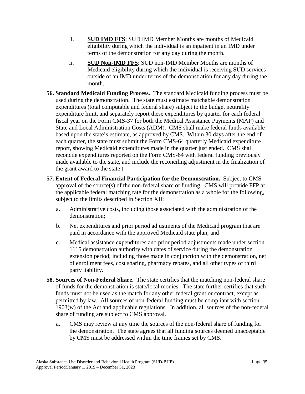- i. **SUD IMD FFS**: SUD IMD Member Months are months of Medicaid eligibility during which the individual is an inpatient in an IMD under terms of the demonstration for any day during the month.
- ii. **SUD Non-IMD FFS**: SUD non-IMD Member Months are months of Medicaid eligibility during which the individual is receiving SUD services outside of an IMD under terms of the demonstration for any day during the month.
- **56. Standard Medicaid Funding Process.** The standard Medicaid funding process must be used during the demonstration. The state must estimate matchable demonstration expenditures (total computable and federal share) subject to the budget neutrality expenditure limit, and separately report these expenditures by quarter for each federal fiscal year on the Form CMS-37 for both the Medical Assistance Payments (MAP) and State and Local Administration Costs (ADM). CMS shall make federal funds available based upon the state's estimate, as approved by CMS. Within 30 days after the end of each quarter, the state must submit the Form CMS-64 quarterly Medicaid expenditure report, showing Medicaid expenditures made in the quarter just ended. CMS shall reconcile expenditures reported on the Form CMS-64 with federal funding previously made available to the state, and include the reconciling adjustment in the finalization of the grant award to the state t
- **57. Extent of Federal Financial Participation for the Demonstration.** Subject to CMS approval of the source(s) of the non-federal share of funding. CMS will provide FFP at the applicable federal matching rate for the demonstration as a whole for the following, subject to the limits described in Section XII:
	- a. Administrative costs, including those associated with the administration of the demonstration;
	- b. Net expenditures and prior period adjustments of the Medicaid program that are paid in accordance with the approved Medicaid state plan; and
	- c. Medical assistance expenditures and prior period adjustments made under section 1115 demonstration authority with dates of service during the demonstration extension period; including those made in conjunction with the demonstration, net of enrollment fees, cost sharing, pharmacy rebates, and all other types of third party liability.
- **58. Sources of Non-Federal Share.** The state certifies that the matching non-federal share of funds for the demonstration is state/local monies. The state further certifies that such funds must not be used as the match for any other federal grant or contract, except as permitted by law. All sources of non-federal funding must be compliant with section 1903(w) of the Act and applicable regulations. In addition, all sources of the non-federal share of funding are subject to CMS approval.
	- a. CMS may review at any time the sources of the non-federal share of funding for the demonstration. The state agrees that all funding sources deemed unacceptable by CMS must be addressed within the time frames set by CMS.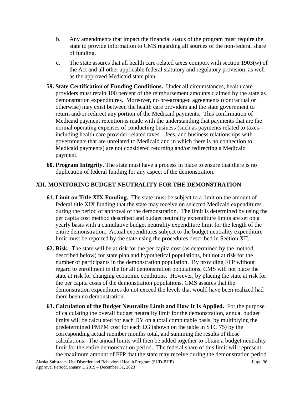- b. Any amendments that impact the financial status of the program must require the state to provide information to CMS regarding all sources of the non-federal share of funding.
- c. The state assures that all health care-related taxes comport with section 1903(w) of the Act and all other applicable federal statutory and regulatory provision, as well as the approved Medicaid state plan.
- **59. State Certification of Funding Conditions.** Under all circumstances, health care providers must retain 100 percent of the reimbursement amounts claimed by the state as demonstration expenditures. Moreover, no pre-arranged agreements (contractual or otherwise) may exist between the health care providers and the state government to return and/or redirect any portion of the Medicaid payments. This confirmation of Medicaid payment retention is made with the understanding that payments that are the normal operating expenses of conducting business (such as payments related to taxes including health care provider-related taxes—fees, and business relationships with governments that are unrelated to Medicaid and in which there is no connection to Medicaid payments) are not considered returning and/or redirecting a Medicaid payment.
- **60. Program Integrity.** The state must have a process in place to ensure that there is no duplication of federal funding for any aspect of the demonstration.

## **[XII.](#page-6-2) MONITORING BUDGET NEUTRALITY FOR THE DEMONSTRATION**

- **61. Limit on Title XIX Funding.** The state must be subject to a limit on the amount of federal title XIX funding that the state may receive on selected Medicaid expenditures during the period of approval of the demonstration. The limit is determined by using the per capita cost method described and budget neutrality expenditure limits are set on a yearly basis with a cumulative budget neutrality expenditure limit for the length of the entire demonstration. Actual expenditures subject to the budget neutrality expenditure limit must be reported by the state using the procedures described in Section XII.
- **62. Risk.** The state will be at risk for the per capita cost (as determined by the method described below) for state plan and hypothetical populations, but not at risk for the number of participants in the demonstration population. By providing FFP without regard to enrollment in the for all demonstration populations, CMS will not place the state at risk for changing economic conditions. However, by placing the state at risk for the per capita costs of the demonstration populations, CMS assures that the demonstration expenditures do not exceed the levels that would have been realized had there been no demonstration.
- **63. Calculation of the Budget Neutrality Limit and How It Is Applied.** For the purpose of calculating the overall budget neutrality limit for the demonstration, annual budget limits will be calculated for each DY on a total computable basis, by multiplying the predetermined PMPM cost for each EG (shown on the table in STC 75) by the corresponding actual member months total, and summing the results of those calculations. The annual limits will then be added together to obtain a budget neutrality limit for the entire demonstration period. The federal share of this limit will represent the maximum amount of FFP that the state may receive during the demonstration period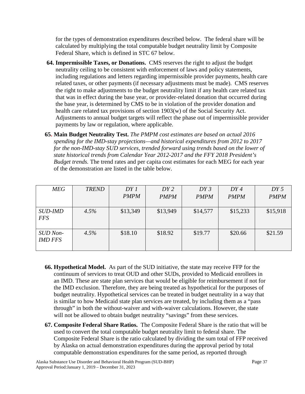for the types of demonstration expenditures described below. The federal share will be calculated by multiplying the total computable budget neutrality limit by Composite Federal Share, which is defined in STC 67 below.

- **64. Impermissible Taxes, or Donations.** CMS reserves the right to adjust the budget neutrality ceiling to be consistent with enforcement of laws and policy statements, including regulations and letters regarding impermissible provider payments, health care related taxes, or other payments (if necessary adjustments must be made). CMS reserves the right to make adjustments to the budget neutrality limit if any health care related tax that was in effect during the base year, or provider-related donation that occurred during the base year, is determined by CMS to be in violation of the provider donation and health care related tax provisions of section 1903(w) of the Social Security Act. Adjustments to annual budget targets will reflect the phase out of impermissible provider payments by law or regulation, where applicable.
- **65. Main Budget Neutrality Test.** *The PMPM cost estimates are based on actual 2016 spending for the IMD-stay projections—and historical expenditures from 2012 to 2017 for the non-IMD-stay SUD services, trended forward using trends based on the lower of state historical trends from Calendar Year 2012-2017 and the FFY 2018 President's Budget trends.* The trend rates and per capita cost estimates for each MEG for each year of the demonstration are listed in the table below.

| <b>MEG</b>                        | <b>TREND</b> | DY1         | DY2         | DY3         | DY4         | DY5         |
|-----------------------------------|--------------|-------------|-------------|-------------|-------------|-------------|
|                                   |              | <b>PMPM</b> | <b>PMPM</b> | <b>PMPM</b> | <b>PMPM</b> | <b>PMPM</b> |
| <b>SUD-IMD</b><br><b>FFS</b>      | 4.5%         | \$13,349    | \$13,949    | \$14,577    | \$15,233    | \$15,918    |
| <b>SUD</b> Non-<br><b>IMD FFS</b> | 4.5%         | \$18.10     | \$18.92     | \$19.77     | \$20.66     | \$21.59     |

- **66. Hypothetical Model.** As part of the SUD initiative, the state may receive FFP for the continuum of services to treat OUD and other SUDs, provided to Medicaid enrollees in an IMD. These are state plan services that would be eligible for reimbursement if not for the IMD exclusion. Therefore, they are being treated as hypothetical for the purposes of budget neutrality. Hypothetical services can be treated in budget neutrality in a way that is similar to how Medicaid state plan services are treated, by including them as a "pass through" in both the without-waiver and with-waiver calculations. However, the state will not be allowed to obtain budget neutrality "savings" from these services.
- **67. Composite Federal Share Ratios.** The Composite Federal Share is the ratio that will be used to convert the total computable budget neutrality limit to federal share. The Composite Federal Share is the ratio calculated by dividing the sum total of FFP received by Alaska on actual demonstration expenditures during the approval period by total computable demonstration expenditures for the same period, as reported through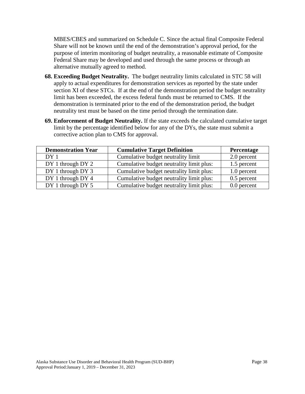MBES/CBES and summarized on Schedule C. Since the actual final Composite Federal Share will not be known until the end of the demonstration's approval period, for the purpose of interim monitoring of budget neutrality, a reasonable estimate of Composite Federal Share may be developed and used through the same process or through an alternative mutually agreed to method.

- **68. Exceeding Budget Neutrality.** The budget neutrality limits calculated in STC 58 will apply to actual expenditures for demonstration services as reported by the state under section XI of these STCs. If at the end of the demonstration period the budget neutrality limit has been exceeded, the excess federal funds must be returned to CMS. If the demonstration is terminated prior to the end of the demonstration period, the budget neutrality test must be based on the time period through the termination date.
- **69. Enforcement of Budget Neutrality.** If the state exceeds the calculated cumulative target limit by the percentage identified below for any of the DYs, the state must submit a corrective action plan to CMS for approval.

| <b>Demonstration Year</b> | <b>Cumulative Target Definition</b>      | Percentage    |
|---------------------------|------------------------------------------|---------------|
| DY 1                      | Cumulative budget neutrality limit       | 2.0 percent   |
| DY 1 through DY 2         | Cumulative budget neutrality limit plus: | 1.5 percent   |
| DY 1 through DY 3         | Cumulative budget neutrality limit plus: | 1.0 percent   |
| DY 1 through DY 4         | Cumulative budget neutrality limit plus: | 0.5 percent   |
| DY 1 through DY 5         | Cumulative budget neutrality limit plus: | $0.0$ percent |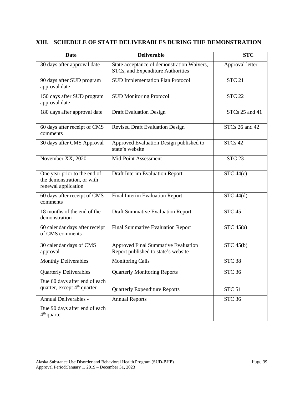| <b>Date</b>                                                                       | <b>Deliverable</b>                                                                | <b>STC</b>      |
|-----------------------------------------------------------------------------------|-----------------------------------------------------------------------------------|-----------------|
| 30 days after approval date                                                       | State acceptance of demonstration Waivers,<br>STCs, and Expenditure Authorities   | Approval letter |
| 90 days after SUD program<br>approval date                                        | <b>SUD Implementation Plan Protocol</b>                                           | <b>STC 21</b>   |
| 150 days after SUD program<br>approval date                                       | <b>SUD Monitoring Protocol</b>                                                    | <b>STC 22</b>   |
| 180 days after approval date                                                      | <b>Draft Evaluation Design</b>                                                    | STCs 25 and 41  |
| 60 days after receipt of CMS<br>comments                                          | <b>Revised Draft Evaluation Design</b>                                            | STCs 26 and 42  |
| 30 days after CMS Approval                                                        | Approved Evaluation Design published to<br>state's website                        | STCs 42         |
| November XX, 2020                                                                 | Mid-Point Assessment                                                              | $STC$ $23$      |
| One year prior to the end of<br>the demonstration, or with<br>renewal application | Draft Interim Evaluation Report                                                   | STC 44(c)       |
| 60 days after receipt of CMS<br>comments                                          | Final Interim Evaluation Report                                                   | STC 44(d)       |
| 18 months of the end of the<br>demonstration                                      | <b>Draft Summative Evaluation Report</b>                                          | <b>STC 45</b>   |
| 60 calendar days after receipt<br>of CMS comments                                 | <b>Final Summative Evaluation Report</b>                                          | STC 45(a)       |
| 30 calendar days of CMS<br>approval                                               | <b>Approved Final Summative Evaluation</b><br>Report published to state's website | STC 45(b)       |
| <b>Monthly Deliverables</b>                                                       | <b>Monitoring Calls</b>                                                           | <b>STC 38</b>   |
| <b>Quarterly Deliverables</b>                                                     | <b>Quarterly Monitoring Reports</b>                                               | <b>STC 36</b>   |
| Due 60 days after end of each                                                     |                                                                                   |                 |
| quarter, except 4 <sup>th</sup> quarter                                           | <b>Quarterly Expenditure Reports</b>                                              | <b>STC 51</b>   |
| Annual Deliverables -                                                             | <b>Annual Reports</b>                                                             | <b>STC 36</b>   |
| Due 90 days after end of each<br>$4th$ quarter                                    |                                                                                   |                 |

# **XIII. SCHEDULE OF STATE DELIVERABLES DURING THE DEMONSTRATION**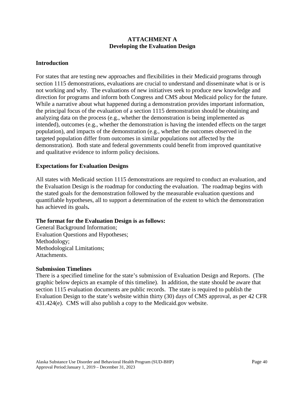### **ATTACHMENT A Developing the Evaluation Design**

### **Introduction**

For states that are testing new approaches and flexibilities in their Medicaid programs through section 1115 demonstrations, evaluations are crucial to understand and disseminate what is or is not working and why. The evaluations of new initiatives seek to produce new knowledge and direction for programs and inform both Congress and CMS about Medicaid policy for the future. While a narrative about what happened during a demonstration provides important information, the principal focus of the evaluation of a section 1115 demonstration should be obtaining and analyzing data on the process (e.g., whether the demonstration is being implemented as intended), outcomes (e.g., whether the demonstration is having the intended effects on the target population), and impacts of the demonstration (e.g., whether the outcomes observed in the targeted population differ from outcomes in similar populations not affected by the demonstration). Both state and federal governments could benefit from improved quantitative and qualitative evidence to inform policy decisions.

### **Expectations for Evaluation Designs**

All states with Medicaid section 1115 demonstrations are required to conduct an evaluation, and the Evaluation Design is the roadmap for conducting the evaluation. The roadmap begins with the stated goals for the demonstration followed by the measurable evaluation questions and quantifiable hypotheses, all to support a determination of the extent to which the demonstration has achieved its goals**.** 

### **The format for the Evaluation Design is as follows:**

General Background Information; Evaluation Questions and Hypotheses; Methodology; Methodological Limitations; Attachments.

#### **Submission Timelines**

There is a specified timeline for the state's submission of Evaluation Design and Reports. (The graphic below depicts an example of this timeline). In addition, the state should be aware that section 1115 evaluation documents are public records. The state is required to publish the Evaluation Design to the state's website within thirty (30) days of CMS approval, as per 42 CFR 431.424(e). CMS will also publish a copy to the Medicaid.gov website.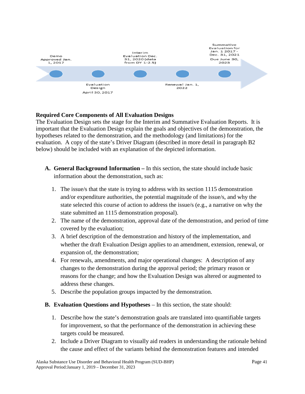

## **Required Core Components of All Evaluation Designs**

The Evaluation Design sets the stage for the Interim and Summative Evaluation Reports. It is important that the Evaluation Design explain the goals and objectives of the demonstration, the hypotheses related to the demonstration, and the methodology (and limitations) for the evaluation. A copy of the state's Driver Diagram (described in more detail in paragraph B2 below) should be included with an explanation of the depicted information.

- **A. General Background Information –** In this section, the state should include basic information about the demonstration, such as:
	- 1. The issue/s that the state is trying to address with its section 1115 demonstration and/or expenditure authorities, the potential magnitude of the issue/s, and why the state selected this course of action to address the issue/s (e.g., a narrative on why the state submitted an 1115 demonstration proposal).
	- 2. The name of the demonstration, approval date of the demonstration, and period of time covered by the evaluation;
	- 3. A brief description of the demonstration and history of the implementation, and whether the draft Evaluation Design applies to an amendment, extension, renewal, or expansion of, the demonstration;
	- 4. For renewals, amendments, and major operational changes: A description of any changes to the demonstration during the approval period; the primary reason or reasons for the change; and how the Evaluation Design was altered or augmented to address these changes.
	- 5. Describe the population groups impacted by the demonstration.
- **B. Evaluation Questions and Hypotheses** In this section, the state should:
	- 1. Describe how the state's demonstration goals are translated into quantifiable targets for improvement, so that the performance of the demonstration in achieving these targets could be measured.
	- 2. Include a Driver Diagram to visually aid readers in understanding the rationale behind the cause and effect of the variants behind the demonstration features and intended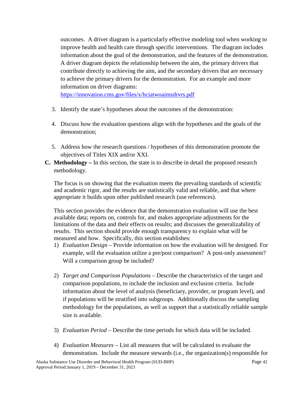outcomes. A driver diagram is a particularly effective modeling tool when working to improve health and health care through specific interventions. The diagram includes information about the goal of the demonstration, and the features of the demonstration. A driver diagram depicts the relationship between the aim, the primary drivers that contribute directly to achieving the aim, and the secondary drivers that are necessary to achieve the primary drivers for the demonstration. For an example and more information on driver diagrams:

<https://innovation.cms.gov/files/x/hciatwoaimsdrvrs.pdf>

- 3. Identify the state's hypotheses about the outcomes of the demonstration:
- 4. Discuss how the evaluation questions align with the hypotheses and the goals of the demonstration;
- 5. Address how the research questions / hypotheses of this demonstration promote the objectives of Titles XIX and/or XXI.
- **C. Methodology –** In this section, the state is to describe in detail the proposed research methodology.

The focus is on showing that the evaluation meets the prevailing standards of scientific and academic rigor, and the results are statistically valid and reliable, and that where appropriate it builds upon other published research (use references).

This section provides the evidence that the demonstration evaluation will use the best available data; reports on, controls for, and makes appropriate adjustments for the limitations of the data and their effects on results; and discusses the generalizability of results. This section should provide enough transparency to explain what will be measured and how. Specifically, this section establishes:

- 1) *Evaluation Design –* Provide information on how the evaluation will be designed. For example, will the evaluation utilize a pre/post comparison? A post-only assessment? Will a comparison group be included?
- 2) *Target and Comparison Populations* Describe the characteristics of the target and comparison populations, to include the inclusion and exclusion criteria. Include information about the level of analysis (beneficiary, provider, or program level), and if populations will be stratified into subgroups. Additionally discuss the sampling methodology for the populations, as well as support that a statistically reliable sample size is available.
- 3) *Evaluation Period –* Describe the time periods for which data will be included.
- 4) *Evaluation Measures –* List all measures that will be calculated to evaluate the demonstration. Include the measure stewards (i.e., the organization(s) responsible for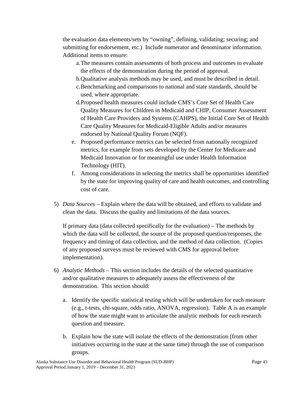the evaluation data elements/sets by "owning", defining, validating; securing; and submitting for endorsement, etc.) Include numerator and denominator information. Additional items to ensure:

- a.The measures contain assessments of both process and outcomes to evaluate the effects of the demonstration during the period of approval.
- b.Qualitative analysis methods may be used, and must be described in detail.
- c.Benchmarking and comparisons to national and state standards, should be used, where appropriate.
- d.Proposed health measures could include CMS's Core Set of Health Care Quality Measures for Children in Medicaid and CHIP, Consumer Assessment of Health Care Providers and Systems (CAHPS), the Initial Core Set of Health Care Quality Measures for Medicaid-Eligible Adults and/or measures endorsed by National Quality Forum (NQF).
- e. Proposed performance metrics can be selected from nationally recognized metrics, for example from sets developed by the Center for Medicare and Medicaid Innovation or for meaningful use under Health Information Technology (HIT).
- f. Among considerations in selecting the metrics shall be opportunities identified by the state for improving quality of care and health outcomes, and controlling cost of care.
- 5) *Data Sources –* Explain where the data will be obtained, and efforts to validate and clean the data. Discuss the quality and limitations of the data sources.

If primary data (data collected specifically for the evaluation) – The methods by which the data will be collected, the source of the proposed question/responses, the frequency and timing of data collection, and the method of data collection. (Copies of any proposed surveys must be reviewed with CMS for approval before implementation).

- 6) *Analytic Methods –* This section includes the details of the selected quantitative and/or qualitative measures to adequately assess the effectiveness of the demonstration. This section should:
	- a. Identify the specific statistical testing which will be undertaken for each measure (e.g., t-tests, chi-square, odds ratio, ANOVA, regression). Table A is an example of how the state might want to articulate the analytic methods for each research question and measure.
	- b. Explain how the state will isolate the effects of the demonstration (from other initiatives occurring in the state at the same time) through the use of comparison groups.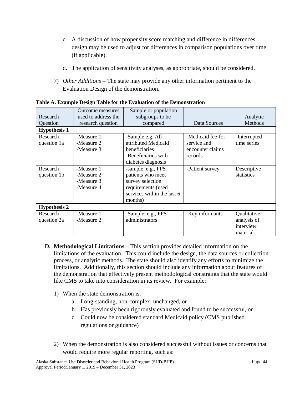- c. A discussion of how propensity score matching and difference in differences design may be used to adjust for differences in comparison populations over time (if applicable).
- d. The application of sensitivity analyses, as appropriate, should be considered.
- 7) *Other Additions –* The state may provide any other information pertinent to the Evaluation Design of the demonstration.

| Research<br>Question<br><b>Hypothesis 1</b> | Outcome measures<br>used to address the<br>research question | Sample or population<br>subgroups to be<br>compared                                                                        | Data Sources                                                     | Analytic<br>Methods                                 |
|---------------------------------------------|--------------------------------------------------------------|----------------------------------------------------------------------------------------------------------------------------|------------------------------------------------------------------|-----------------------------------------------------|
| Research<br>question 1a                     | -Measure 1<br>-Measure 2<br>-Measure 3                       | -Sample e.g. All<br>attributed Medicaid<br>beneficiaries<br>-Beneficiaries with<br>diabetes diagnosis                      | -Medicaid fee-for-<br>service and<br>encounter claims<br>records | -Interrupted<br>time series                         |
| Research<br>question 1b                     | -Measure 1<br>-Measure 2<br>-Measure 3<br>-Measure 4         | -sample, e.g., PPS<br>patients who meet<br>survey selection<br>requirements (used<br>services within the last 6<br>months) | -Patient survey                                                  | Descriptive<br>statistics                           |
| <b>Hypothesis 2</b>                         |                                                              |                                                                                                                            |                                                                  |                                                     |
| Research<br>question 2a                     | -Measure 1<br>-Measure 2                                     | -Sample, e.g., PPS<br>administrators                                                                                       | -Key informants                                                  | Qualitative<br>analysis of<br>interview<br>material |

**Table A. Example Design Table for the Evaluation of the Demonstration**

- **D. Methodological Limitations –** This section provides detailed information on the limitations of the evaluation. This could include the design, the data sources or collection process, or analytic methods. The state should also identify any efforts to minimize the limitations. Additionally, this section should include any information about features of the demonstration that effectively present methodological constraints that the state would like CMS to take into consideration in its review. For example:
	- 1) When the state demonstration is:
		- a. Long-standing, non-complex, unchanged, or
		- b. Has previously been rigorously evaluated and found to be successful, or
		- c. Could now be considered standard Medicaid policy (CMS published regulations or guidance)
	- 2) When the demonstration is also considered successful without issues or concerns that would require more regular reporting, such as: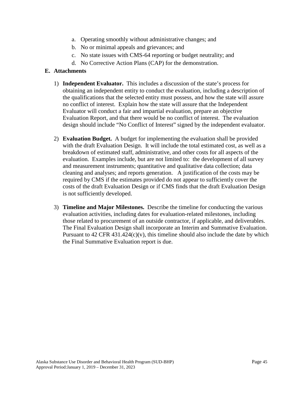- a. Operating smoothly without administrative changes; and
- b. No or minimal appeals and grievances; and
- c. No state issues with CMS-64 reporting or budget neutrality; and
- d. No Corrective Action Plans (CAP) for the demonstration.

### **E. Attachments**

- 1) **Independent Evaluator.** This includes a discussion of the state's process for obtaining an independent entity to conduct the evaluation, including a description of the qualifications that the selected entity must possess, and how the state will assure no conflict of interest. Explain how the state will assure that the Independent Evaluator will conduct a fair and impartial evaluation, prepare an objective Evaluation Report, and that there would be no conflict of interest. The evaluation design should include "No Conflict of Interest" signed by the independent evaluator.
- 2) **Evaluation Budget.** A budget for implementing the evaluation shall be provided with the draft Evaluation Design. It will include the total estimated cost, as well as a breakdown of estimated staff, administrative, and other costs for all aspects of the evaluation. Examples include, but are not limited to: the development of all survey and measurement instruments; quantitative and qualitative data collection; data cleaning and analyses; and reports generation. A justification of the costs may be required by CMS if the estimates provided do not appear to sufficiently cover the costs of the draft Evaluation Design or if CMS finds that the draft Evaluation Design is not sufficiently developed.
- 3) **Timeline and Major Milestones.** Describe the timeline for conducting the various evaluation activities, including dates for evaluation-related milestones, including those related to procurement of an outside contractor, if applicable, and deliverables. The Final Evaluation Design shall incorporate an Interim and Summative Evaluation. Pursuant to  $42$  CFR  $431.424(c)(v)$ , this timeline should also include the date by which the Final Summative Evaluation report is due.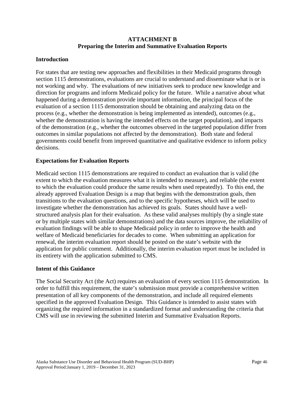### **ATTACHMENT B Preparing the Interim and Summative Evaluation Reports**

### **Introduction**

For states that are testing new approaches and flexibilities in their Medicaid programs through section 1115 demonstrations, evaluations are crucial to understand and disseminate what is or is not working and why. The evaluations of new initiatives seek to produce new knowledge and direction for programs and inform Medicaid policy for the future. While a narrative about what happened during a demonstration provide important information, the principal focus of the evaluation of a section 1115 demonstration should be obtaining and analyzing data on the process (e.g., whether the demonstration is being implemented as intended), outcomes (e.g., whether the demonstration is having the intended effects on the target population), and impacts of the demonstration (e.g., whether the outcomes observed in the targeted population differ from outcomes in similar populations not affected by the demonstration). Both state and federal governments could benefit from improved quantitative and qualitative evidence to inform policy decisions.

### **Expectations for Evaluation Reports**

Medicaid section 1115 demonstrations are required to conduct an evaluation that is valid (the extent to which the evaluation measures what it is intended to measure), and reliable (the extent to which the evaluation could produce the same results when used repeatedly). To this end, the already approved Evaluation Design is a map that begins with the demonstration goals, then transitions to the evaluation questions, and to the specific hypotheses, which will be used to investigate whether the demonstration has achieved its goals. States should have a wellstructured analysis plan for their evaluation. As these valid analyses multiply (by a single state or by multiple states with similar demonstrations) and the data sources improve, the reliability of evaluation findings will be able to shape Medicaid policy in order to improve the health and welfare of Medicaid beneficiaries for decades to come. When submitting an application for renewal, the interim evaluation report should be posted on the state's website with the application for public comment. Additionally, the interim evaluation report must be included in its entirety with the application submitted to CMS.

### **Intent of this Guidance**

The Social Security Act (the Act) requires an evaluation of every section 1115 demonstration. In order to fulfill this requirement, the state's submission must provide a comprehensive written presentation of all key components of the demonstration, and include all required elements specified in the approved Evaluation Design. This Guidance is intended to assist states with organizing the required information in a standardized format and understanding the criteria that CMS will use in reviewing the submitted Interim and Summative Evaluation Reports.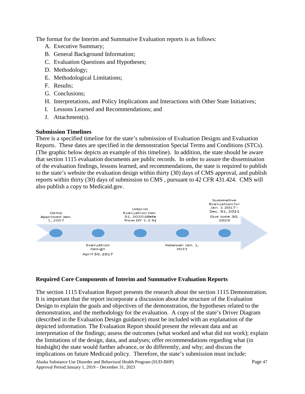The format for the Interim and Summative Evaluation reports is as follows:

- A. Executive Summary;
- B. General Background Information;
- C. Evaluation Questions and Hypotheses;
- D. Methodology;
- E. Methodological Limitations;
- F. Results;
- G. Conclusions;
- H. Interpretations, and Policy Implications and Interactions with Other State Initiatives;
- I. Lessons Learned and Recommendations; and
- J. Attachment(s).

## **Submission Timelines**

There is a specified timeline for the state's submission of Evaluation Designs and Evaluation Reports. These dates are specified in the demonstration Special Terms and Conditions (STCs). (The graphic below depicts an example of this timeline). In addition, the state should be aware that section 1115 evaluation documents are public records. In order to assure the dissemination of the evaluation findings, lessons learned, and recommendations, the state is required to publish to the state's website the evaluation design within thirty (30) days of CMS approval, and publish reports within thirty (30) days of submission to CMS , pursuant to 42 CFR 431.424. CMS will also publish a copy to Medicaid.gov.



## **Required Core Components of Interim and Summative Evaluation Reports**

The section 1115 Evaluation Report presents the research about the section 1115 Demonstration. It is important that the report incorporate a discussion about the structure of the Evaluation Design to explain the goals and objectives of the demonstration, the hypotheses related to the demonstration, and the methodology for the evaluation. A copy of the state's Driver Diagram (described in the Evaluation Design guidance) must be included with an explanation of the depicted information. The Evaluation Report should present the relevant data and an interpretation of the findings; assess the outcomes (what worked and what did not work); explain the limitations of the design, data, and analyses; offer recommendations regarding what (in hindsight) the state would further advance, or do differently, and why; and discuss the implications on future Medicaid policy. Therefore, the state's submission must include:

Alaska Substance Use Disorder and Behavioral Health Program (SUD-BHP) Page 47 Approval Period:January 1, 2019 – December 31, 2023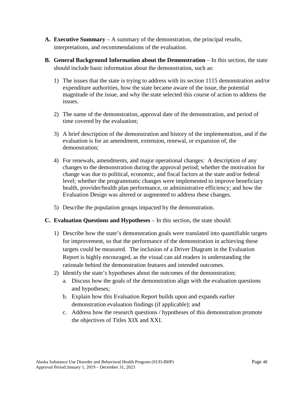- **A. Executive Summary** A summary of the demonstration, the principal results, interpretations, and recommendations of the evaluation.
- **B.** General Background Information about the Demonstration In this section, the state should include basic information about the demonstration, such as:
	- 1) The issues that the state is trying to address with its section 1115 demonstration and/or expenditure authorities, how the state became aware of the issue, the potential magnitude of the issue, and why the state selected this course of action to address the issues.
	- 2) The name of the demonstration, approval date of the demonstration, and period of time covered by the evaluation;
	- 3) A brief description of the demonstration and history of the implementation, and if the evaluation is for an amendment, extension, renewal, or expansion of, the demonstration;
	- 4) For renewals, amendments, and major operational changes: A description of any changes to the demonstration during the approval period; whether the motivation for change was due to political, economic, and fiscal factors at the state and/or federal level; whether the programmatic changes were implemented to improve beneficiary health, provider/health plan performance, or administrative efficiency; and how the Evaluation Design was altered or augmented to address these changes.
	- 5) Describe the population groups impacted by the demonstration.
- **C. Evaluation Questions and Hypotheses** In this section, the state should:
	- 1) Describe how the state's demonstration goals were translated into quantifiable targets for improvement, so that the performance of the demonstration in achieving these targets could be measured. The inclusion of a Driver Diagram in the Evaluation Report is highly encouraged, as the visual can aid readers in understanding the rationale behind the demonstration features and intended outcomes.
	- 2) Identify the state's hypotheses about the outcomes of the demonstration;
		- a. Discuss how the goals of the demonstration align with the evaluation questions and hypotheses;
		- b. Explain how this Evaluation Report builds upon and expands earlier demonstration evaluation findings (if applicable); and
		- c. Address how the research questions / hypotheses of this demonstration promote the objectives of Titles XIX and XXI.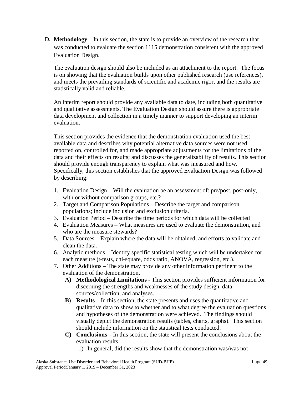**D. Methodology** – In this section, the state is to provide an overview of the research that was conducted to evaluate the section 1115 demonstration consistent with the approved Evaluation Design.

The evaluation design should also be included as an attachment to the report. The focus is on showing that the evaluation builds upon other published research (use references), and meets the prevailing standards of scientific and academic rigor, and the results are statistically valid and reliable.

An interim report should provide any available data to date, including both quantitative and qualitative assessments. The Evaluation Design should assure there is appropriate data development and collection in a timely manner to support developing an interim evaluation.

This section provides the evidence that the demonstration evaluation used the best available data and describes why potential alternative data sources were not used; reported on, controlled for, and made appropriate adjustments for the limitations of the data and their effects on results; and discusses the generalizability of results. This section should provide enough transparency to explain what was measured and how. Specifically, this section establishes that the approved Evaluation Design was followed by describing:

- 1. Evaluation Design Will the evaluation be an assessment of: pre/post, post-only, with or without comparison groups, etc.?
- 2. Target and Comparison Populations Describe the target and comparison populations; include inclusion and exclusion criteria.
- 3. Evaluation Period Describe the time periods for which data will be collected
- 4. Evaluation Measures What measures are used to evaluate the demonstration, and who are the measure stewards?
- 5. Data Sources Explain where the data will be obtained, and efforts to validate and clean the data.
- 6. Analytic methods Identify specific statistical testing which will be undertaken for each measure (t-tests, chi-square, odds ratio, ANOVA, regression, etc.).
- 7. Other Additions The state may provide any other information pertinent to the evaluation of the demonstration.
	- **A) Methodological Limitations -** This section provides sufficient information for discerning the strengths and weaknesses of the study design, data sources/collection, and analyses.
	- **B) Results –** In this section, the state presents and uses the quantitative and qualitative data to show to whether and to what degree the evaluation questions and hypotheses of the demonstration were achieved. The findings should visually depict the demonstration results (tables, charts, graphs). This section should include information on the statistical tests conducted.
	- **C) Conclusions**  In this section, the state will present the conclusions about the evaluation results.
		- 1) In general, did the results show that the demonstration was/was not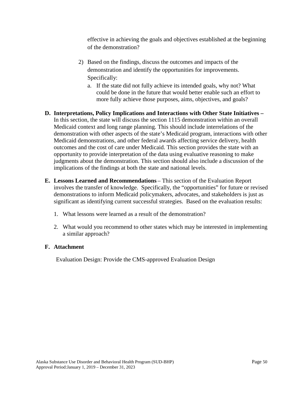effective in achieving the goals and objectives established at the beginning of the demonstration?

- 2) Based on the findings, discuss the outcomes and impacts of the demonstration and identify the opportunities for improvements. Specifically:
	- a. If the state did not fully achieve its intended goals, why not? What could be done in the future that would better enable such an effort to more fully achieve those purposes, aims, objectives, and goals?
- **D. Interpretations, Policy Implications and Interactions with Other State Initiatives –** In this section, the state will discuss the section 1115 demonstration within an overall Medicaid context and long range planning. This should include interrelations of the demonstration with other aspects of the state's Medicaid program, interactions with other Medicaid demonstrations, and other federal awards affecting service delivery, health outcomes and the cost of care under Medicaid. This section provides the state with an opportunity to provide interpretation of the data using evaluative reasoning to make judgments about the demonstration. This section should also include a discussion of the implications of the findings at both the state and national levels.
- **E. Lessons Learned and Recommendations** This section of the Evaluation Report involves the transfer of knowledge. Specifically, the "opportunities" for future or revised demonstrations to inform Medicaid policymakers, advocates, and stakeholders is just as significant as identifying current successful strategies. Based on the evaluation results:
	- 1. What lessons were learned as a result of the demonstration?
	- 2. What would you recommend to other states which may be interested in implementing a similar approach?

### **F. Attachment**

Evaluation Design: Provide the CMS-approved Evaluation Design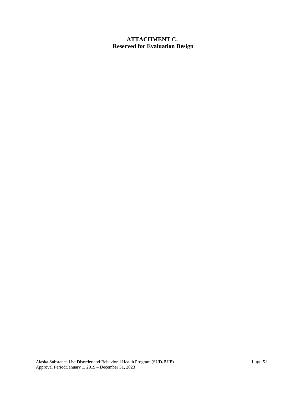# **ATTACHMENT C: Reserved for Evaluation Design**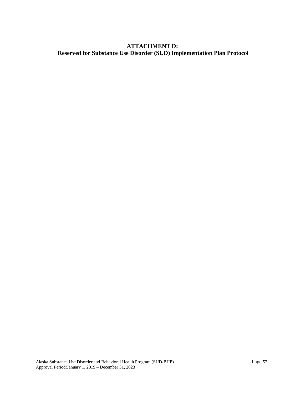# **ATTACHMENT D: Reserved for Substance Use Disorder (SUD) Implementation Plan Protocol**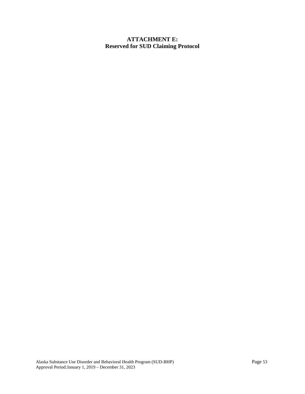## **ATTACHMENT E: Reserved for SUD Claiming Protocol**